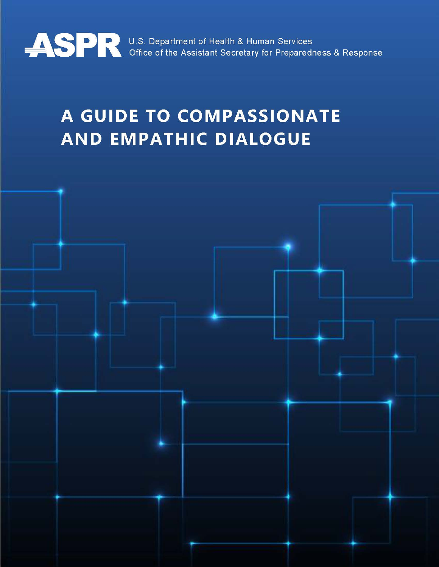

# A GUIDE TO COMPASSIONATE **AND EMPATHIC DIALOGUE**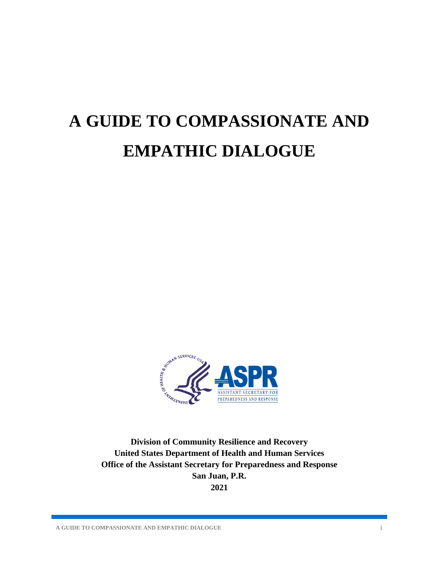# <span id="page-1-0"></span>**A GUIDE TO COMPASSIONATE AND EMPATHIC DIALOGUE**



**Division of Community Resilience and Recovery United States Department of Health and Human Services Office of the Assistant Secretary for Preparedness and Response San Juan, P.R. 2021**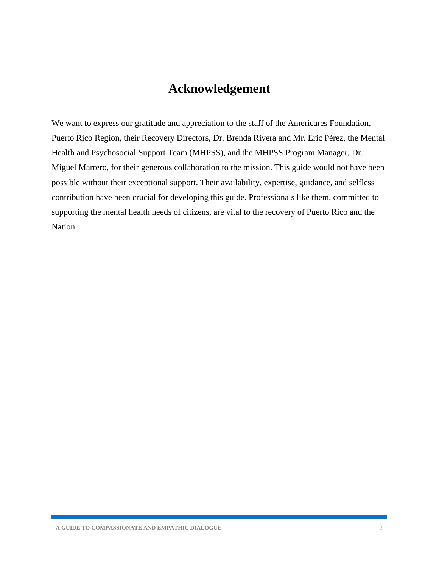## **Acknowledgement**

<span id="page-2-0"></span>We want to express our gratitude and appreciation to the staff of the Americares Foundation, Puerto Rico Region, their Recovery Directors, Dr. Brenda Rivera and Mr. Eric Pérez, the Mental Health and Psychosocial Support Team (MHPSS), and the MHPSS Program Manager, Dr. Miguel Marrero, for their generous collaboration to the mission. This guide would not have been possible without their exceptional support. Their availability, expertise, guidance, and selfless contribution have been crucial for developing this guide. Professionals like them, committed to supporting the mental health needs of citizens, are vital to the recovery of Puerto Rico and the Nation.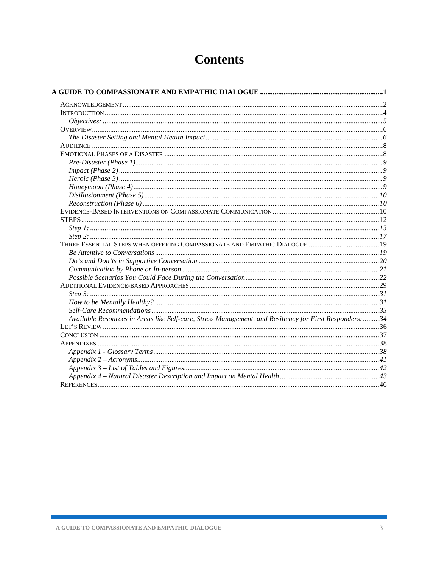## **Contents**

| THREE ESSENTIAL STEPS WHEN OFFERING COMPASSIONATE AND EMPATHIC DIALOGUE  19                             |  |
|---------------------------------------------------------------------------------------------------------|--|
|                                                                                                         |  |
|                                                                                                         |  |
|                                                                                                         |  |
|                                                                                                         |  |
|                                                                                                         |  |
|                                                                                                         |  |
|                                                                                                         |  |
|                                                                                                         |  |
| Available Resources in Areas like Self-care, Stress Management, and Resiliency for First Responders: 34 |  |
|                                                                                                         |  |
|                                                                                                         |  |
|                                                                                                         |  |
|                                                                                                         |  |
|                                                                                                         |  |
|                                                                                                         |  |
|                                                                                                         |  |
|                                                                                                         |  |
|                                                                                                         |  |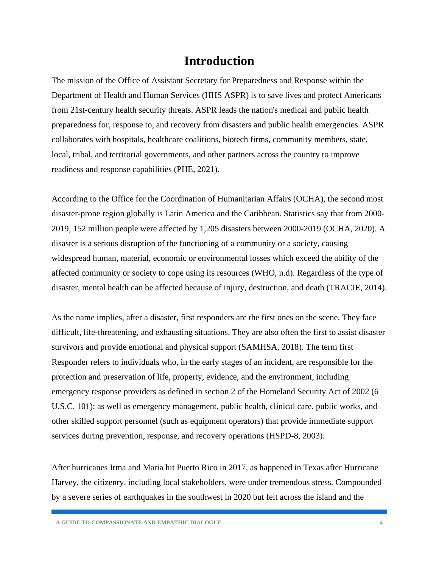## **Introduction**

<span id="page-4-0"></span>The mission of the Office of Assistant Secretary for Preparedness and Response within the Department of Health and Human Services (HHS ASPR) is to save lives and protect Americans from 21st-century health security threats. ASPR leads the nation's medical and public health preparedness for, response to, and recovery from disasters and public health emergencies. ASPR collaborates with hospitals, healthcare coalitions, biotech firms, community members, state, local, tribal, and territorial governments, and other partners across the country to improve readiness and response capabilities (PHE, 2021).

According to the Office for the Coordination of Humanitarian Affairs (OCHA), the second most disaster-prone region globally is Latin America and the Caribbean. Statistics say that from 2000- 2019, 152 million people were affected by 1,205 disasters between 2000-2019 (OCHA, 2020). A disaster is a serious disruption of the functioning of a community or a society, causing widespread human, material, economic or environmental losses which exceed the ability of the affected community or society to cope using its resources (WHO, n.d). Regardless of the type of disaster, mental health can be affected because of injury, destruction, and death (TRACIE, 2014).

As the name implies, after a disaster, first responders are the first ones on the scene. They face difficult, life-threatening, and exhausting situations. They are also often the first to assist disaster survivors and provide emotional and physical support (SAMHSA, 2018). The term first Responder refers to individuals who, in the early stages of an incident, are responsible for the protection and preservation of life, property, evidence, and the environment, including emergency response providers as defined in section 2 of the Homeland Security Act of 2002 (6 U.S.C. 101); as well as emergency management, public health, clinical care, public works, and other skilled support personnel (such as equipment operators) that provide immediate support services during prevention, response, and recovery operations (HSPD-8, 2003).

After hurricanes Irma and Maria hit Puerto Rico in 2017, as happened in Texas after Hurricane Harvey, the citizenry, including local stakeholders, were under tremendous stress. Compounded by a severe series of earthquakes in the southwest in 2020 but felt across the island and the

**A GUIDE TO COMPASSIONATE AND EMPATHIC DIALOGUE** 4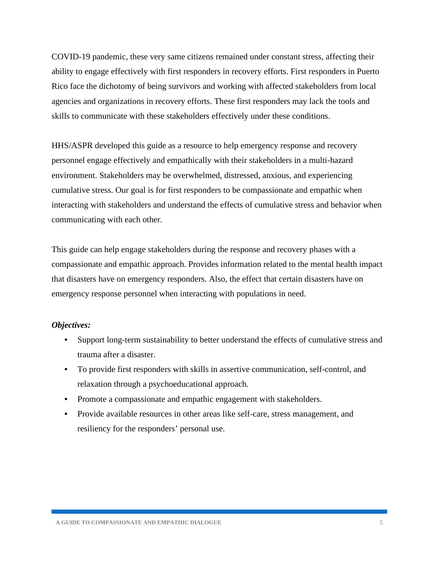COVID-19 pandemic, these very same citizens remained under constant stress, affecting their ability to engage effectively with first responders in recovery efforts. First responders in Puerto Rico face the dichotomy of being survivors and working with affected stakeholders from local agencies and organizations in recovery efforts. These first responders may lack the tools and skills to communicate with these stakeholders effectively under these conditions.

HHS/ASPR developed this guide as a resource to help emergency response and recovery personnel engage effectively and empathically with their stakeholders in a multi-hazard environment. Stakeholders may be overwhelmed, distressed, anxious, and experiencing cumulative stress. Our goal is for first responders to be compassionate and empathic when interacting with stakeholders and understand the effects of cumulative stress and behavior when communicating with each other.

This guide can help engage stakeholders during the response and recovery phases with a compassionate and empathic approach. Provides information related to the mental health impact that disasters have on emergency responders. Also, the effect that certain disasters have on emergency response personnel when interacting with populations in need.

#### <span id="page-5-0"></span>*Objectives:*

- Support long-term sustainability to better understand the effects of cumulative stress and trauma after a disaster.
- To provide first responders with skills in assertive communication, self-control, and relaxation through a psychoeducational approach.
- Promote a compassionate and empathic engagement with stakeholders.
- Provide available resources in other areas like self-care, stress management, and resiliency for the responders' personal use.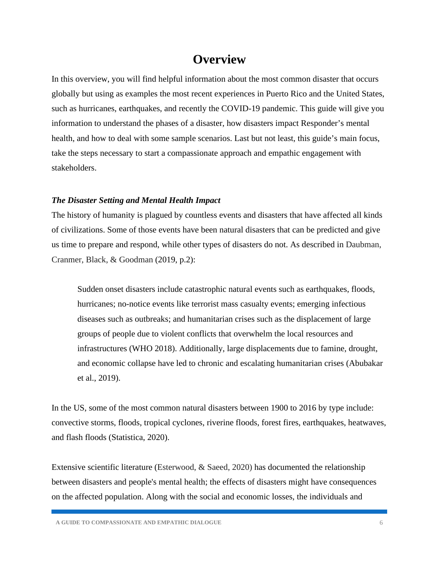## **Overview**

<span id="page-6-0"></span>In this overview, you will find helpful information about the most common disaster that occurs globally but using as examples the most recent experiences in Puerto Rico and the United States, such as hurricanes, earthquakes, and recently the COVID-19 pandemic. This guide will give you information to understand the phases of a disaster, how disasters impact Responder's mental health, and how to deal with some sample scenarios. Last but not least, this guide's main focus, take the steps necessary to start a compassionate approach and empathic engagement with stakeholders.

#### <span id="page-6-1"></span>*The Disaster Setting and Mental Health Impact*

The history of humanity is plagued by countless events and disasters that have affected all kinds of civilizations. Some of those events have been natural disasters that can be predicted and give us time to prepare and respond, while other types of disasters do not. As described in Daubman, Cranmer, Black, & Goodman (2019, p.2):

Sudden onset disasters include catastrophic natural events such as earthquakes, floods, hurricanes; no-notice events like terrorist mass casualty events; emerging infectious diseases such as outbreaks; and humanitarian crises such as the displacement of large groups of people due to violent conflicts that overwhelm the local resources and infrastructures (WHO 2018). Additionally, large displacements due to famine, drought, and economic collapse have led to chronic and escalating humanitarian crises (Abubakar et al., 2019).

In the US, some of the most common natural disasters between 1900 to 2016 by type include: convective storms, floods, tropical cyclones, riverine floods, forest fires, earthquakes, heatwaves, and flash floods (Statistica, 2020).

Extensive scientific literature (Esterwood, & Saeed, 2020) has documented the relationship between disasters and people's mental health; the effects of disasters might have consequences on the affected population. Along with the social and economic losses, the individuals and

**A GUIDE TO COMPASSIONATE AND EMPATHIC DIALOGUE** 6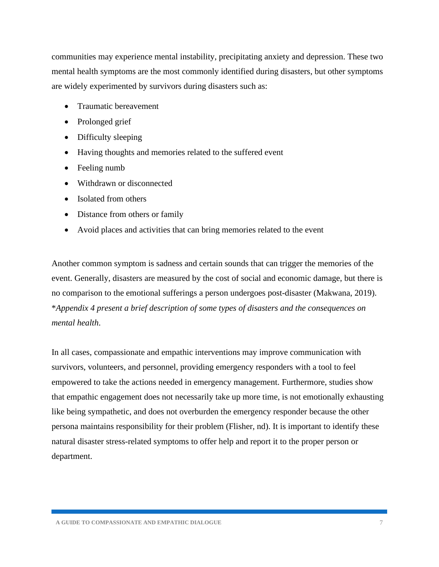communities may experience mental instability, precipitating anxiety and depression. These two mental health symptoms are the most commonly identified during disasters, but other symptoms are widely experimented by survivors during disasters such as:

- Traumatic bereavement
- Prolonged grief
- Difficulty sleeping
- Having thoughts and memories related to the suffered event
- Feeling numb
- Withdrawn or disconnected
- Isolated from others
- Distance from others or family
- Avoid places and activities that can bring memories related to the event

Another common symptom is sadness and certain sounds that can trigger the memories of the event. Generally, disasters are measured by the cost of social and economic damage, but there is no comparison to the emotional sufferings a person undergoes post-disaster (Makwana, 2019). \**Appendix 4 present a brief description of some types of disasters and the consequences on mental health*.

In all cases, compassionate and empathic interventions may improve communication with survivors, volunteers, and personnel, providing emergency responders with a tool to feel empowered to take the actions needed in emergency management. Furthermore, studies show that empathic engagement does not necessarily take up more time, is not emotionally exhausting like being sympathetic, and does not overburden the emergency responder because the other persona maintains responsibility for their problem (Flisher, nd). It is important to identify these natural disaster stress-related symptoms to offer help and report it to the proper person or department.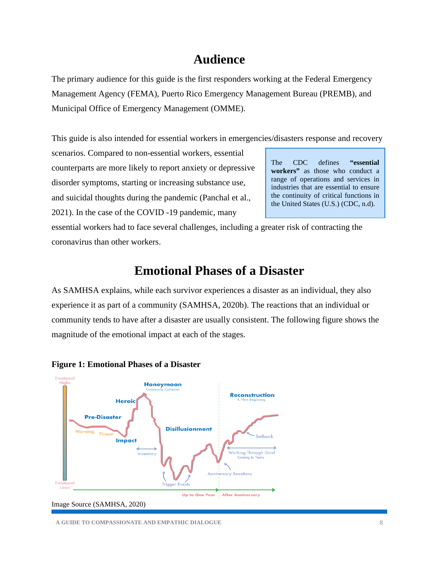## **Audience**

<span id="page-8-0"></span>The primary audience for this guide is the first responders working at the Federal Emergency Management Agency (FEMA), Puerto Rico Emergency Management Bureau (PREMB), and Municipal Office of Emergency Management (OMME).

This guide is also intended for essential workers in emergencies/disasters response and recovery

scenarios. Compared to non-essential workers, essential counterparts are more likely to report anxiety or depressive disorder symptoms, starting or increasing substance use, and suicidal thoughts during the pandemic (Panchal et al., 2021). In the case of the COVID -19 pandemic, many

The CDC defines **"essential workers"** as those who conduct a range of operations and services in industries that are essential to ensure the continuity of critical functions in the United States (U.S.) (CDC, n.d).

essential workers had to face several challenges, including a greater risk of contracting the coronavirus than other workers.

## **Emotional Phases of a Disaster**

<span id="page-8-1"></span>As SAMHSA explains, while each survivor experiences a disaster as an individual, they also experience it as part of a community (SAMHSA, 2020b). The reactions that an individual or community tends to have after a disaster are usually consistent. The following figure shows the magnitude of the emotional impact at each of the stages.





**A GUIDE TO COMPASSIONATE AND EMPATHIC DIALOGUE** 8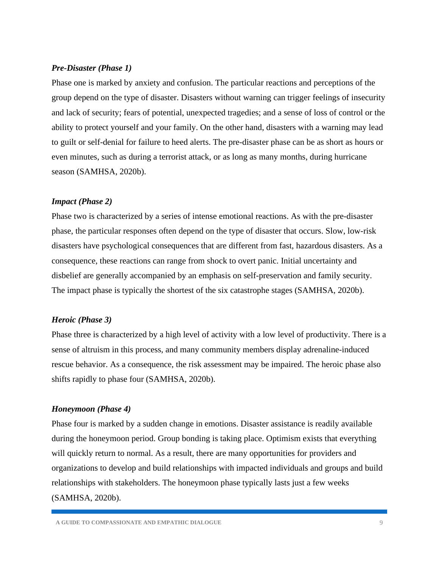#### <span id="page-9-0"></span>*Pre-Disaster (Phase 1)*

Phase one is marked by anxiety and confusion. The particular reactions and perceptions of the group depend on the type of disaster. Disasters without warning can trigger feelings of insecurity and lack of security; fears of potential, unexpected tragedies; and a sense of loss of control or the ability to protect yourself and your family. On the other hand, disasters with a warning may lead to guilt or self-denial for failure to heed alerts. The pre-disaster phase can be as short as hours or even minutes, such as during a terrorist attack, or as long as many months, during hurricane season (SAMHSA, 2020b).

#### <span id="page-9-1"></span>*Impact (Phase 2)*

Phase two is characterized by a series of intense emotional reactions. As with the pre-disaster phase, the particular responses often depend on the type of disaster that occurs. Slow, low-risk disasters have psychological consequences that are different from fast, hazardous disasters. As a consequence, these reactions can range from shock to overt panic. Initial uncertainty and disbelief are generally accompanied by an emphasis on self-preservation and family security. The impact phase is typically the shortest of the six catastrophe stages (SAMHSA, 2020b).

#### <span id="page-9-2"></span>*Heroic (Phase 3)*

Phase three is characterized by a high level of activity with a low level of productivity. There is a sense of altruism in this process, and many community members display adrenaline-induced rescue behavior. As a consequence, the risk assessment may be impaired. The heroic phase also shifts rapidly to phase four (SAMHSA, 2020b).

#### <span id="page-9-3"></span>*Honeymoon (Phase 4)*

Phase four is marked by a sudden change in emotions. Disaster assistance is readily available during the honeymoon period. Group bonding is taking place. Optimism exists that everything will quickly return to normal. As a result, there are many opportunities for providers and organizations to develop and build relationships with impacted individuals and groups and build relationships with stakeholders. The honeymoon phase typically lasts just a few weeks (SAMHSA, 2020b).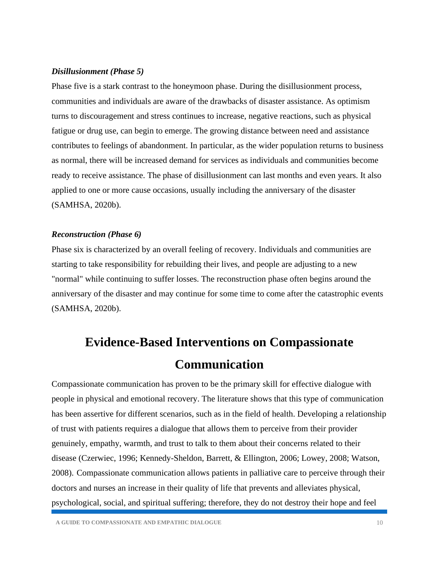#### <span id="page-10-0"></span>*Disillusionment (Phase 5)*

Phase five is a stark contrast to the honeymoon phase. During the disillusionment process, communities and individuals are aware of the drawbacks of disaster assistance. As optimism turns to discouragement and stress continues to increase, negative reactions, such as physical fatigue or drug use, can begin to emerge. The growing distance between need and assistance contributes to feelings of abandonment. In particular, as the wider population returns to business as normal, there will be increased demand for services as individuals and communities become ready to receive assistance. The phase of disillusionment can last months and even years. It also applied to one or more cause occasions, usually including the anniversary of the disaster (SAMHSA, 2020b).

#### <span id="page-10-1"></span>*Reconstruction (Phase 6)*

Phase six is characterized by an overall feeling of recovery. Individuals and communities are starting to take responsibility for rebuilding their lives, and people are adjusting to a new "normal" while continuing to suffer losses. The reconstruction phase often begins around the anniversary of the disaster and may continue for some time to come after the catastrophic events (SAMHSA, 2020b).

## <span id="page-10-2"></span>**Evidence-Based Interventions on Compassionate Communication**

Compassionate communication has proven to be the primary skill for effective dialogue with people in physical and emotional recovery. The literature shows that this type of communication has been assertive for different scenarios, such as in the field of health. Developing a relationship of trust with patients requires a dialogue that allows them to perceive from their provider genuinely, empathy, warmth, and trust to talk to them about their concerns related to their disease (Czerwiec, 1996; Kennedy-Sheldon, Barrett, & Ellington, 2006; Lowey, 2008; Watson, 2008). Compassionate communication allows patients in palliative care to perceive through their doctors and nurses an increase in their quality of life that prevents and alleviates physical, psychological, social, and spiritual suffering; therefore, they do not destroy their hope and feel

**A GUIDE TO COMPASSIONATE AND EMPATHIC DIALOGUE** 10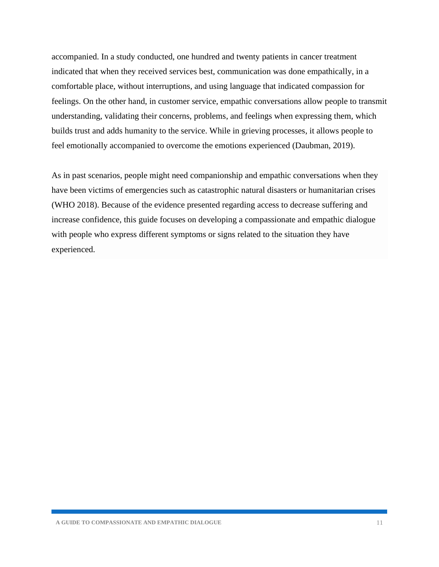accompanied. In a study conducted, one hundred and twenty patients in cancer treatment indicated that when they received services best, communication was done empathically, in a comfortable place, without interruptions, and using language that indicated compassion for feelings. On the other hand, in customer service, empathic conversations allow people to transmit understanding, validating their concerns, problems, and feelings when expressing them, which builds trust and adds humanity to the service. While in grieving processes, it allows people to feel emotionally accompanied to overcome the emotions experienced (Daubman, 2019).

As in past scenarios, people might need companionship and empathic conversations when they have been victims of emergencies such as catastrophic natural disasters or humanitarian crises (WHO 2018). Because of the evidence presented regarding access to decrease suffering and increase confidence, this guide focuses on developing a compassionate and empathic dialogue with people who express different symptoms or signs related to the situation they have experienced.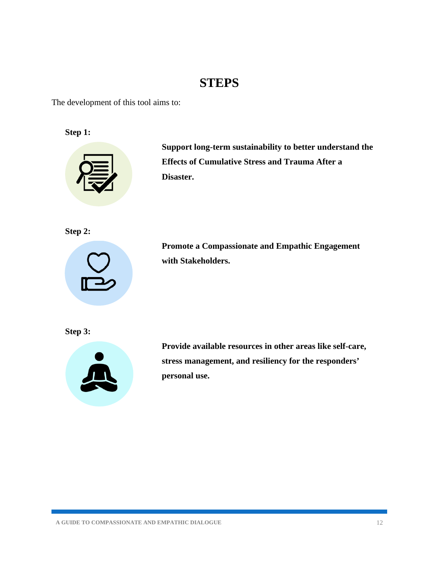## **STEPS**

<span id="page-12-0"></span>The development of this tool aims to:

**Step 1:**



**Support long-term sustainability to better understand the Effects of Cumulative Stress and Trauma After a Disaster.**

**Step 2:**



**Promote a Compassionate and Empathic Engagement with Stakeholders.**

**Step 3:**



**Provide available resources in other areas like self-care, stress management, and resiliency for the responders' personal use.**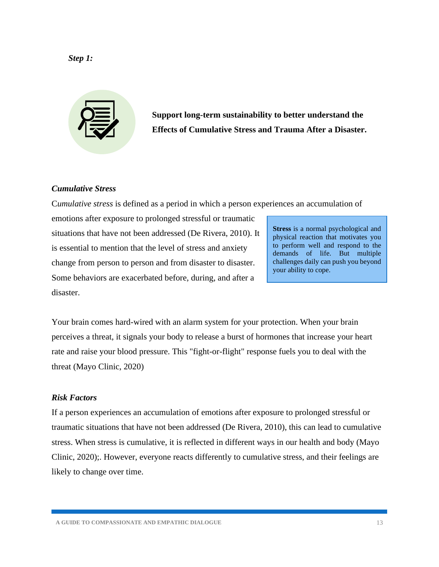#### <span id="page-13-0"></span>*Step 1:*

**Support long-term sustainability to better understand the Effects of Cumulative Stress and Trauma After a Disaster.**

#### *Cumulative Stress*

C*umulative stress* is defined as a period in which a person experiences an accumulation of

emotions after exposure to prolonged stressful or traumatic situations that have not been addressed (De Rivera, 2010). It is essential to mention that the level of stress and anxiety change from person to person and from disaster to disaster. Some behaviors are exacerbated before, during, and after a disaster.

**Stress** is a normal psychological and physical reaction that motivates you to perform well and respond to the demands of life. But multiple challenges daily can push you beyond your ability to cope.

Your brain comes hard-wired with an alarm system for your protection. When your brain perceives a threat, it signals your body to release a burst of hormones that increase your heart rate and raise your blood pressure. This "fight-or-flight" response fuels you to deal with the threat (Mayo Clinic, 2020)

#### *Risk Factors*

If a person experiences an accumulation of emotions after exposure to prolonged stressful or traumatic situations that have not been addressed (De Rivera, 2010), this can lead to cumulative stress. When stress is cumulative, it is reflected in different ways in our health and body (Mayo Clinic, 2020);. However, everyone reacts differently to cumulative stress, and their feelings are likely to change over time.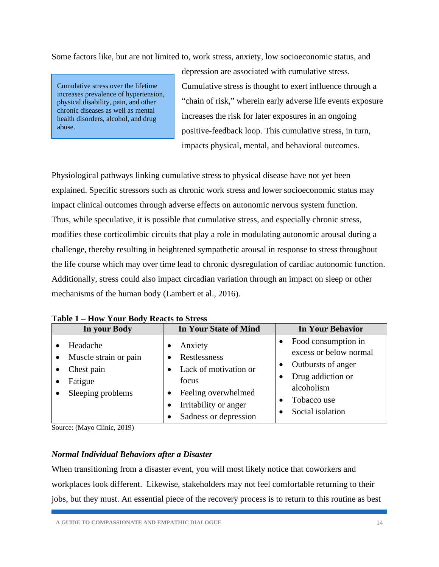Some factors like, but are not limited to, work stress, anxiety, low socioeconomic status, and

Cumulative stress over the lifetime increases prevalence of hypertension, physical disability, pain, and other chronic diseases as well as mental health disorders, alcohol, and drug abuse.

depression are associated with cumulative stress. Cumulative stress is thought to exert influence through a "chain of risk," wherein early adverse life events exposure increases the risk for later exposures in an ongoing positive-feedback loop. This cumulative stress, in turn, impacts physical, mental, and behavioral outcomes.

Physiological pathways linking cumulative stress to physical disease have not yet been explained. Specific stressors such as chronic work stress and lower socioeconomic status may impact clinical outcomes through adverse effects on autonomic nervous system function. Thus, while speculative, it is possible that cumulative stress, and especially chronic stress, modifies these corticolimbic circuits that play a role in modulating autonomic arousal during a challenge, thereby resulting in heightened sympathetic arousal in response to stress throughout the life course which may over time lead to chronic dysregulation of cardiac autonomic function. Additionally, stress could also impact circadian variation through an impact on sleep or other mechanisms of the human body (Lambert et al., 2016).

| In your Body                                                                    | <b>In Your State of Mind</b>                                                                                                       | <b>In Your Behavior</b>                                                                                                                   |
|---------------------------------------------------------------------------------|------------------------------------------------------------------------------------------------------------------------------------|-------------------------------------------------------------------------------------------------------------------------------------------|
| Headache<br>Muscle strain or pain<br>Chest pain<br>Fatigue<br>Sleeping problems | Anxiety<br>Restlessness<br>Lack of motivation or<br>focus<br>Feeling overwhelmed<br>Irritability or anger<br>Sadness or depression | Food consumption in<br>excess or below normal<br>Outbursts of anger<br>Drug addiction or<br>alcoholism<br>Tobacco use<br>Social isolation |

**Table 1 – How Your Body Reacts to Stress** 

Source: (Mayo Clinic, 2019)

#### *Normal Individual Behaviors after a Disaster*

When transitioning from a disaster event, you will most likely notice that coworkers and workplaces look different. Likewise, stakeholders may not feel comfortable returning to their jobs, but they must. An essential piece of the recovery process is to return to this routine as best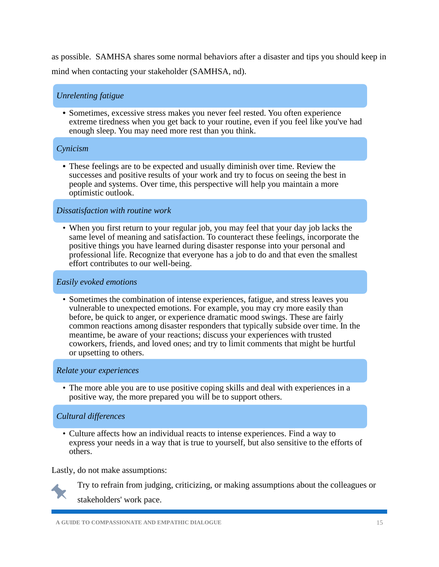as possible. SAMHSA shares some normal behaviors after a disaster and tips you should keep in mind when contacting your stakeholder (SAMHSA, nd).

#### *Unrelenting fatigue*

• Sometimes, excessive stress makes you never feel rested. You often experience extreme tiredness when you get back to your routine, even if you feel like you've had enough sleep. You may need more rest than you think.

#### *Cynicism*

• These feelings are to be expected and usually diminish over time. Review the successes and positive results of your work and try to focus on seeing the best in people and systems. Over time, this perspective will help you maintain a more optimistic outlook.

#### *Dissatisfaction with routine work*

• When you first return to your regular job, you may feel that your day job lacks the same level of meaning and satisfaction. To counteract these feelings, incorporate the positive things you have learned during disaster response into your personal and professional life. Recognize that everyone has a job to do and that even the smallest effort contributes to our well-being.

#### *Easily evoked emotions*

• Sometimes the combination of intense experiences, fatigue, and stress leaves you vulnerable to unexpected emotions. For example, you may cry more easily than before, be quick to anger, or experience dramatic mood swings. These are fairly common reactions among disaster responders that typically subside over time. In the meantime, be aware of your reactions; discuss your experiences with trusted coworkers, friends, and loved ones; and try to limit comments that might be hurtful or upsetting to others.

#### *Relate your experiences*

• The more able you are to use positive coping skills and deal with experiences in a positive way, the more prepared you will be to support others.

#### *Cultural differences*

• Culture affects how an individual reacts to intense experiences. Find a way to express your needs in a way that is true to yourself, but also sensitive to the efforts of others.

Lastly, do not make assumptions:



Try to refrain from judging, criticizing, or making assumptions about the colleagues or stakeholders' work pace.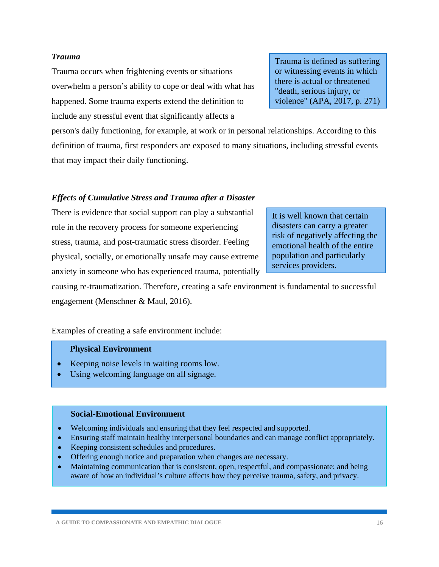#### *Trauma*

Trauma occurs when frightening events or situations overwhelm a person's ability to cope or deal with what has happened. Some trauma experts extend the definition to include any stressful event that significantly affects a

Trauma is defined as suffering or witnessing events in which there is actual or threatened "death, serious injury, or violence" (APA, 2017, p. 271)

person's daily functioning, for example, at work or in personal relationships. According to this definition of trauma, first responders are exposed to many situations, including stressful events that may impact their daily functioning.

#### *Effects of Cumulative Stress and Trauma after a Disaster*

There is evidence that social support can play a substantial role in the recovery process for someone experiencing stress, trauma, and post-traumatic stress disorder. Feeling physical, socially, or emotionally unsafe may cause extreme anxiety in someone who has experienced trauma, potentially

It is well known that certain disasters can carry a greater risk of negatively affecting the emotional health of the entire population and particularly services providers.

causing re-traumatization. Therefore, creating a safe environment is fundamental to successful engagement (Menschner & Maul, 2016).

Examples of creating a safe environment include:

#### **Physical Environment**

- Keeping noise levels in waiting rooms low.
- Using welcoming language on all signage.

#### **Social-Emotional Environment**

- Welcoming individuals and ensuring that they feel respected and supported.
- Ensuring staff maintain healthy interpersonal boundaries and can manage conflict appropriately.
- Keeping consistent schedules and procedures.
- Offering enough notice and preparation when changes are necessary.
- Maintaining communication that is consistent, open, respectful, and compassionate; and being aware of how an individual's culture affects how they perceive trauma, safety, and privacy.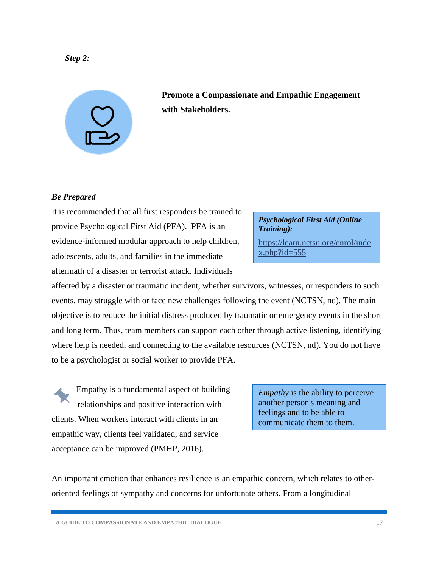#### <span id="page-17-0"></span>*Step 2:*

**with Stakeholders.**

**Promote a Compassionate and Empathic Engagement** 

#### *Be Prepared*

It is recommended that all first responders be trained to provide Psychological First Aid (PFA). PFA is an evidence-informed modular approach to help children, adolescents, adults, and families in the immediate aftermath of a disaster or terrorist attack. Individuals

affected by a disaster or traumatic incident, whether survivors, witnesses, or responders to such events, may struggle with or face new challenges following the event (NCTSN, nd). The main objective is to reduce the initial distress produced by traumatic or emergency events in the short and long term. Thus, team members can support each other through active listening, identifying where help is needed, and connecting to the available resources (NCTSN, nd). You do not have to be a psychologist or social worker to provide PFA.

Empathy is a fundamental aspect of building relationships and positive interaction with clients. When workers interact with clients in an empathic way, clients feel validated, and service acceptance can be improved (PMHP, 2016).

An important emotion that enhances resilience is an empathic concern, which relates to otheroriented feelings of sympathy and concerns for unfortunate others. From a longitudinal

*Training):*

*Psychological First Aid (Online* 

[https://learn.nctsn.org/enrol/inde](https://learn.nctsn.org/enrol/index.php?id=555)  $x.php$ ?id=555

*Empathy* is the ability to perceive another person's meaning and feelings and to be able to communicate them to them.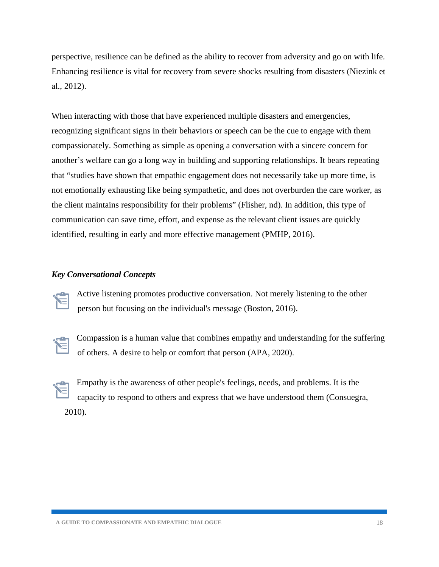perspective, resilience can be defined as the ability to recover from adversity and go on with life. Enhancing resilience is vital for recovery from severe shocks resulting from disasters (Niezink et al., 2012).

When interacting with those that have experienced multiple disasters and emergencies, recognizing significant signs in their behaviors or speech can be the cue to engage with them compassionately. Something as simple as opening a conversation with a sincere concern for another's welfare can go a long way in building and supporting relationships. It bears repeating that "studies have shown that empathic engagement does not necessarily take up more time, is not emotionally exhausting like being sympathetic, and does not overburden the care worker, as the client maintains responsibility for their problems" (Flisher, nd). In addition, this type of communication can save time, effort, and expense as the relevant client issues are quickly identified, resulting in early and more effective management (PMHP, 2016).

#### *Key Conversational Concepts*

Active listening promotes productive conversation. Not merely listening to the other person but focusing on the individual's message (Boston, 2016).



Compassion is a human value that combines empathy and understanding for the suffering of others. A desire to help or comfort that person (APA, 2020).



Empathy is the awareness of other people's feelings, needs, and problems. It is the capacity to respond to others and express that we have understood them (Consuegra, 2010).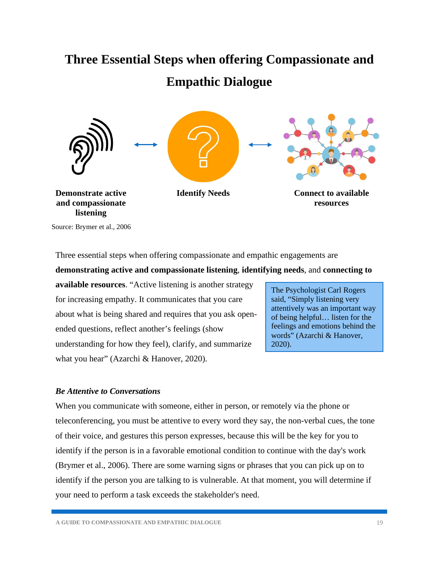## <span id="page-19-0"></span>**Three Essential Steps when offering Compassionate and Empathic Dialogue**



Source: Brymer et al., 2006

Three essential steps when offering compassionate and empathic engagements are

#### **demonstrating active and compassionate listening**, **identifying needs**, and **connecting to**

**available resources**. "Active listening is another strategy for increasing empathy. It communicates that you care about what is being shared and requires that you ask openended questions, reflect another's feelings (show understanding for how they feel), clarify, and summarize what you hear" (Azarchi & Hanover, 2020).

The Psychologist Carl Rogers said, "Simply listening very attentively was an important way of being helpful… listen for the feelings and emotions behind the words" (Azarchi & Hanover, 2020).

#### <span id="page-19-1"></span>*Be Attentive to Conversations*

When you communicate with someone, either in person, or remotely via the phone or teleconferencing, you must be attentive to every word they say, the non-verbal cues, the tone of their voice, and gestures this person expresses, because this will be the key for you to identify if the person is in a favorable emotional condition to continue with the day's work (Brymer et al., 2006). There are some warning signs or phrases that you can pick up on to identify if the person you are talking to is vulnerable. At that moment, you will determine if your need to perform a task exceeds the stakeholder's need.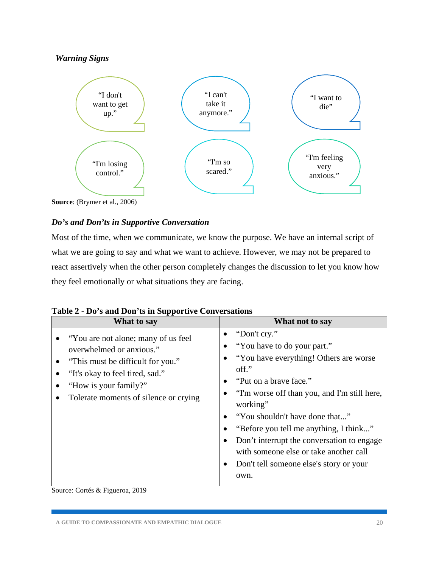#### *Warning Signs*



**Source**: (Brymer et al., 2006)

#### <span id="page-20-0"></span>*Do's and Don'ts in Supportive Conversation*

Most of the time, when we communicate, we know the purpose. We have an internal script of what we are going to say and what we want to achieve. However, we may not be prepared to react assertively when the other person completely changes the discussion to let you know how they feel emotionally or what situations they are facing.

|  |  |  |  |  |  |  |  | Table 2 - Do's and Don'ts in Supportive Conversations |
|--|--|--|--|--|--|--|--|-------------------------------------------------------|
|--|--|--|--|--|--|--|--|-------------------------------------------------------|

| What to say                                                                                                                                                                                                | What not to say                                                                                                                                                                                                                                                                                                                                                                                                                        |
|------------------------------------------------------------------------------------------------------------------------------------------------------------------------------------------------------------|----------------------------------------------------------------------------------------------------------------------------------------------------------------------------------------------------------------------------------------------------------------------------------------------------------------------------------------------------------------------------------------------------------------------------------------|
| "You are not alone; many of us feel"<br>overwhelmed or anxious."<br>"This must be difficult for you."<br>"It's okay to feel tired, sad."<br>"How is your family?"<br>Tolerate moments of silence or crying | "Don't cry."<br>٠<br>"You have to do your part."<br>"You have everything! Others are worse"<br>$\overline{\text{off}}$ ."<br>"Put on a brave face."<br>"I'm worse off than you, and I'm still here,<br>working"<br>"You shouldn't have done that"<br>"Before you tell me anything, I think"<br>Don't interrupt the conversation to engage<br>with someone else or take another call<br>Don't tell someone else's story or your<br>own. |

Source: Cortés & Figueroa, 2019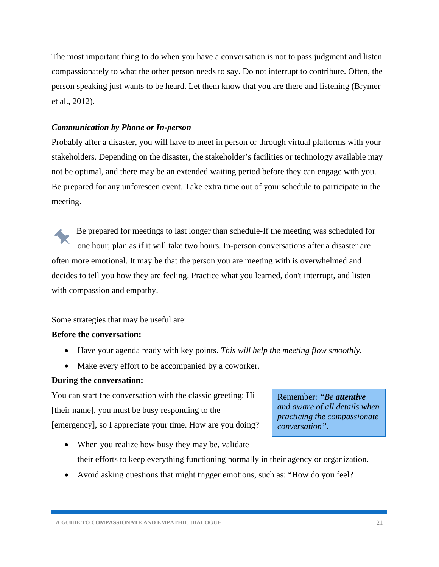The most important thing to do when you have a conversation is not to pass judgment and listen compassionately to what the other person needs to say. Do not interrupt to contribute. Often, the person speaking just wants to be heard. Let them know that you are there and listening (Brymer et al., 2012).

#### <span id="page-21-0"></span>*Communication by Phone or In-person*

Probably after a disaster, you will have to meet in person or through virtual platforms with your stakeholders. Depending on the disaster, the stakeholder's facilities or technology available may not be optimal, and there may be an extended waiting period before they can engage with you. Be prepared for any unforeseen event. Take extra time out of your schedule to participate in the meeting.

Be prepared for meetings to last longer than schedule-If the meeting was scheduled for one hour; plan as if it will take two hours. In-person conversations after a disaster are often more emotional. It may be that the person you are meeting with is overwhelmed and decides to tell you how they are feeling. Practice what you learned, don't interrupt, and listen with compassion and empathy.

Some strategies that may be useful are:

#### **Before the conversation:**

- Have your agenda ready with key points. *This will help the meeting flow smoothly.*
- Make every effort to be accompanied by a coworker.

#### **During the conversation:**

You can start the conversation with the classic greeting: Hi [their name], you must be busy responding to the [emergency], so I appreciate your time. How are you doing?

Remember: *"Be attentive and aware of all details when practicing the compassionate conversation"*.

- When you realize how busy they may be, validate their efforts to keep everything functioning normally in their agency or organization.
- Avoid asking questions that might trigger emotions, such as: "How do you feel?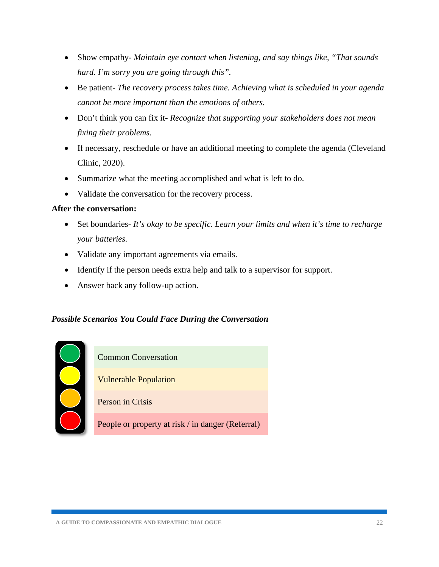- Show empathy- *Maintain eye contact when listening, and say things like, "That sounds hard. I'm sorry you are going through this".*
- Be patient- *The recovery process takes time. Achieving what is scheduled in your agenda cannot be more important than the emotions of others.*
- Don't think you can fix it- *Recognize that supporting your stakeholders does not mean fixing their problems.*
- If necessary, reschedule or have an additional meeting to complete the agenda (Cleveland Clinic, 2020).
- Summarize what the meeting accomplished and what is left to do.
- Validate the conversation for the recovery process.

#### **After the conversation:**

- Set boundaries- *It's okay to be specific. Learn your limits and when it's time to recharge your batteries.*
- Validate any important agreements via emails.
- Identify if the person needs extra help and talk to a supervisor for support.
- Answer back any follow-up action.

#### <span id="page-22-0"></span>*Possible Scenarios You Could Face During the Conversation*

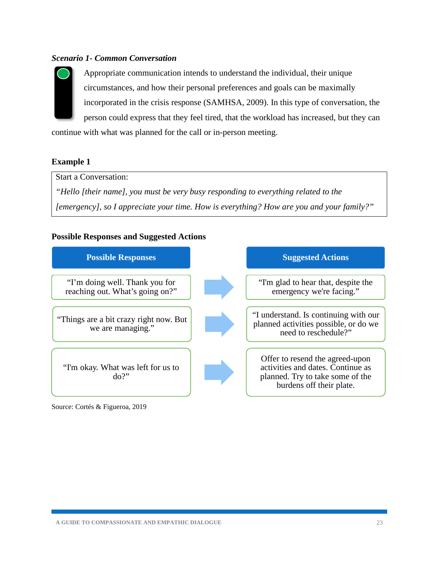#### *Scenario 1- Common Conversation*



Appropriate communication intends to understand the individual, their unique circumstances, and how their personal preferences and goals can be maximally incorporated in the crisis response (SAMHSA, 2009). In this type of conversation, the person could express that they feel tired, that the workload has increased, but they can

continue with what was planned for the call or in-person meeting.

#### **Example 1**

Start a Conversation:

*"Hello [their name], you must be very busy responding to everything related to the [emergency], so I appreciate your time. How is everything? How are you and your family?"* 

#### **Possible Responses and Suggested Actions**



Source: Cortés & Figueroa, 2019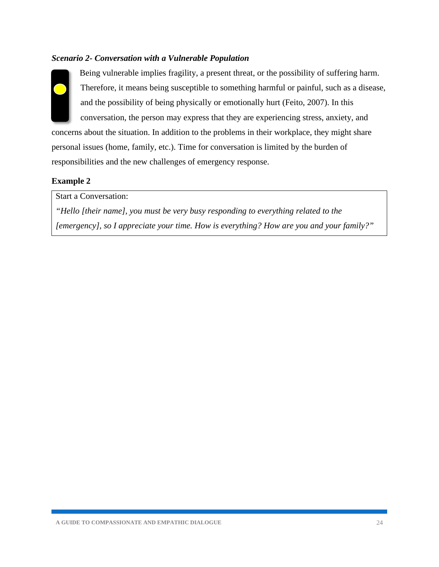#### *Scenario 2- Conversation with a Vulnerable Population*



Being vulnerable implies fragility, a present threat, or the possibility of suffering harm. Therefore, it means being susceptible to something harmful or painful, such as a disease, and the possibility of being physically or emotionally hurt (Feito, 2007). In this conversation, the person may express that they are experiencing stress, anxiety, and

concerns about the situation. In addition to the problems in their workplace, they might share personal issues (home, family, etc.). Time for conversation is limited by the burden of responsibilities and the new challenges of emergency response.

#### **Example 2**

Start a Conversation:

*"Hello [their name], you must be very busy responding to everything related to the [emergency], so I appreciate your time. How is everything? How are you and your family?"*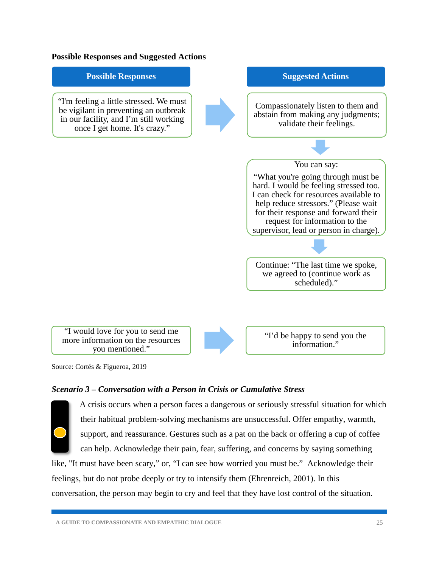



Source: Cortés & Figueroa, 2019

#### *Scenario 3 – Conversation with a Person in Crisis or Cumulative Stress*



A crisis occurs when a person faces a dangerous or seriously stressful situation for which their habitual problem-solving mechanisms are unsuccessful. Offer empathy, warmth, support, and reassurance. Gestures such as a pat on the back or offering a cup of coffee can help. Acknowledge their pain, fear, suffering, and concerns by saying something

like, "It must have been scary," or, "I can see how worried you must be." Acknowledge their feelings, but do not probe deeply or try to intensify them (Ehrenreich, 2001). In this conversation, the person may begin to cry and feel that they have lost control of the situation.

**A GUIDE TO COMPASSIONATE AND EMPATHIC DIALOGUE** 25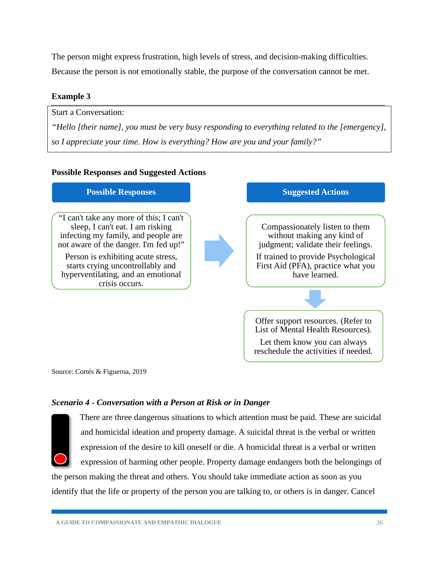The person might express frustration, high levels of stress, and decision-making difficulties. Because the person is not emotionally stable, the purpose of the conversation cannot be met.

#### **Example 3**

Start a Conversation:

*"Hello [their name], you must be very busy responding to everything related to the [emergency], so I appreciate your time. How is everything? How are you and your family?"* 

#### **Possible Responses and Suggested Actions**



Source: Cortés & Figueroa, 2019

#### *Scenario 4 - Conversation with a Person at Risk or in Danger*



There are three dangerous situations to which attention must be paid. These are suicidal and homicidal ideation and property damage. A suicidal threat is the verbal or written expression of the desire to kill oneself or die. A homicidal threat is a verbal or written expression of harming other people. Property damage endangers both the belongings of

the person making the threat and others. You should take immediate action as soon as you identify that the life or property of the person you are talking to, or others is in danger. Cancel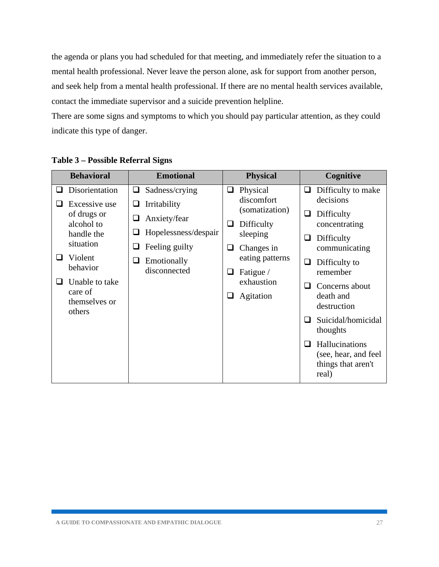the agenda or plans you had scheduled for that meeting, and immediately refer the situation to a mental health professional. Never leave the person alone, ask for support from another person, and seek help from a mental health professional. If there are no mental health services available, contact the immediate supervisor and a suicide prevention helpline.

There are some signs and symptoms to which you should pay particular attention, as they could indicate this type of danger.

|  | <b>Behavioral</b>                                                                            | <b>Emotional</b>                                                                                               |              | <b>Physical</b>                                                           |                                      | Cognitive                                                                   |                                                        |
|--|----------------------------------------------------------------------------------------------|----------------------------------------------------------------------------------------------------------------|--------------|---------------------------------------------------------------------------|--------------------------------------|-----------------------------------------------------------------------------|--------------------------------------------------------|
|  | Disorientation                                                                               | Sadness/crying<br>$\Box$                                                                                       | □            | Physical<br>discomfort                                                    | O                                    | Difficulty to make<br>decisions                                             |                                                        |
|  | Excessive use<br>of drugs or<br>alcohol to<br>handle the<br>situation<br>Violent<br>behavior | Irritability<br>⊔<br>Anxiety/fear<br>❏<br>Hopelessness/despair<br>⊔<br>Feeling guilty<br>⊔<br>Emotionally<br>⊔ | ⊔<br>⊔       | (somatization)<br>Difficulty<br>sleeping<br>Changes in<br>eating patterns | ⊔<br>u<br>⊔                          | Difficulty<br>concentrating<br>Difficulty<br>communicating<br>Difficulty to |                                                        |
|  | Unable to take<br>care of<br>themselves or<br>others                                         |                                                                                                                | disconnected | ⊔<br>⊔                                                                    | Fatigue /<br>exhaustion<br>Agitation | $\Box$                                                                      | remember<br>Concerns about<br>death and<br>destruction |
|  |                                                                                              |                                                                                                                |              |                                                                           |                                      | Suicidal/homicidal<br>thoughts                                              |                                                        |
|  |                                                                                              |                                                                                                                |              |                                                                           | $\sqcup$                             | Hallucinations<br>(see, hear, and feel)<br>things that aren't<br>real)      |                                                        |

#### **Table 3 – Possible Referral Signs**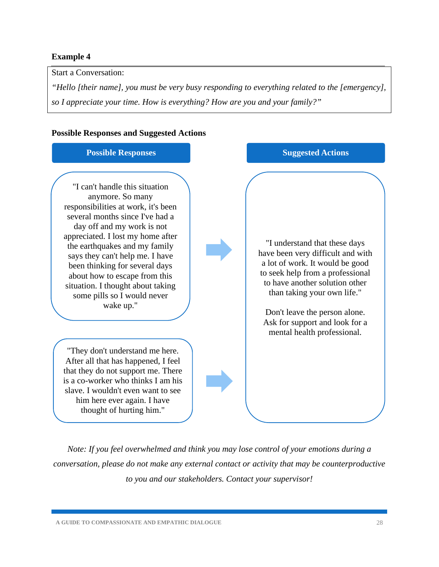#### **Example 4**

Start a Conversation:

*"Hello [their name], you must be very busy responding to everything related to the [emergency], so I appreciate your time. How is everything? How are you and your family?"* 

#### **Possible Responses and Suggested Actions**

#### **Possible Responses Suggested Actions** "I can't handle this situation anymore. So many responsibilities at work, it's been several months since I've had a day off and my work is not appreciated. I lost my home after the earthquakes and my family says they can't help me. I have been thinking for several days about how to escape from this situation. I thought about taking some pills so I would never wake up." "They don't understand me here. After all that has happened, I feel that they do not support me. There is a co-worker who thinks I am his slave. I wouldn't even want to see him here ever again. I have thought of hurting him." "I understand that these days have been very difficult and with a lot of work. It would be good to seek help from a professional to have another solution other than taking your own life." Don't leave the person alone. Ask for support and look for a mental health professional.

*Note: If you feel overwhelmed and think you may lose control of your emotions during a conversation, please do not make any external contact or activity that may be counterproductive to you and our stakeholders. Contact your supervisor!* 

**A GUIDE TO COMPASSIONATE AND EMPATHIC DIALOGUE** 28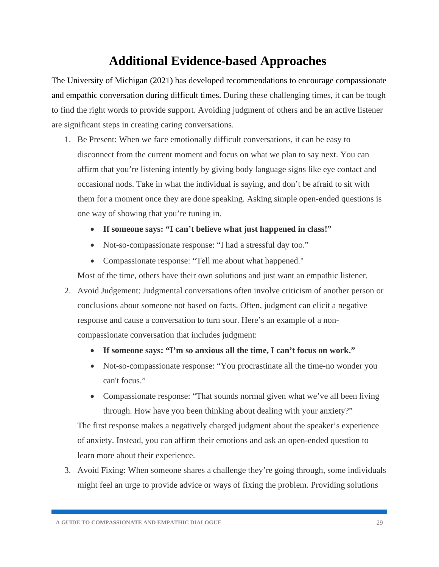## **Additional Evidence-based Approaches**

<span id="page-29-0"></span>The University of Michigan (2021) has developed recommendations to encourage compassionate and empathic conversation during difficult times. During these challenging times, it can be tough to find the right words to provide support. Avoiding judgment of others and be an active listener are significant steps in creating caring conversations.

- 1. Be Present: When we face emotionally difficult conversations, it can be easy to disconnect from the current moment and focus on what we plan to say next. You can affirm that you're listening intently by giving body language signs like eye contact and occasional nods. Take in what the individual is saying, and don't be afraid to sit with them for a moment once they are done speaking. Asking simple open-ended questions is one way of showing that you're tuning in.
	- **If someone says: "I can't believe what just happened in class!"**
	- Not-so-compassionate response: "I had a stressful day too."
	- Compassionate response: "Tell me about what happened."

Most of the time, others have their own solutions and just want an empathic listener.

- 2. Avoid Judgement: Judgmental conversations often involve criticism of another person or conclusions about someone not based on facts. Often, judgment can elicit a negative response and cause a conversation to turn sour. Here's an example of a noncompassionate conversation that includes judgment:
	- **If someone says: "I'm so anxious all the time, I can't focus on work."**
	- Not-so-compassionate response: "You procrastinate all the time-no wonder you can't focus."
	- Compassionate response: "That sounds normal given what we've all been living through. How have you been thinking about dealing with your anxiety?"

The first response makes a negatively charged judgment about the speaker's experience of anxiety. Instead, you can affirm their emotions and ask an open-ended question to learn more about their experience.

3. Avoid Fixing: When someone shares a challenge they're going through, some individuals might feel an urge to provide advice or ways of fixing the problem. Providing solutions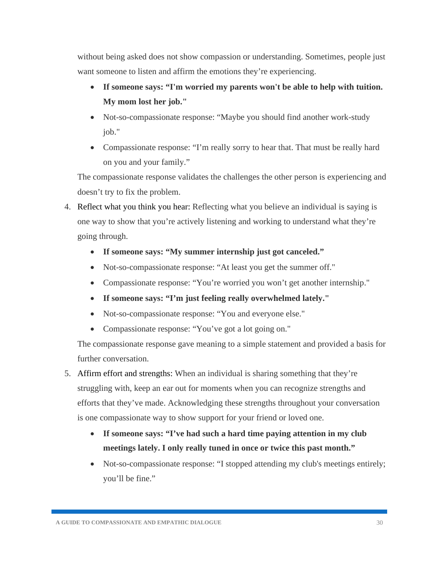without being asked does not show compassion or understanding. Sometimes, people just want someone to listen and affirm the emotions they're experiencing.

- **If someone says: "I'm worried my parents won't be able to help with tuition. My mom lost her job."**
- Not-so-compassionate response: "Maybe you should find another work-study job."
- Compassionate response: "I'm really sorry to hear that. That must be really hard on you and your family."

The compassionate response validates the challenges the other person is experiencing and doesn't try to fix the problem.

- 4. Reflect what you think you hear: Reflecting what you believe an individual is saying is one way to show that you're actively listening and working to understand what they're going through.
	- **If someone says: "My summer internship just got canceled."**
	- Not-so-compassionate response: "At least you get the summer off."
	- Compassionate response: "You're worried you won't get another internship."
	- **If someone says: "I'm just feeling really overwhelmed lately."**
	- Not-so-compassionate response: "You and everyone else."
	- Compassionate response: "You've got a lot going on."

The compassionate response gave meaning to a simple statement and provided a basis for further conversation.

- 5. Affirm effort and strengths: When an individual is sharing something that they're struggling with, keep an ear out for moments when you can recognize strengths and efforts that they've made. Acknowledging these strengths throughout your conversation is one compassionate way to show support for your friend or loved one.
	- **If someone says: "I've had such a hard time paying attention in my club meetings lately. I only really tuned in once or twice this past month."**
	- Not-so-compassionate response: "I stopped attending my club's meetings entirely; you'll be fine."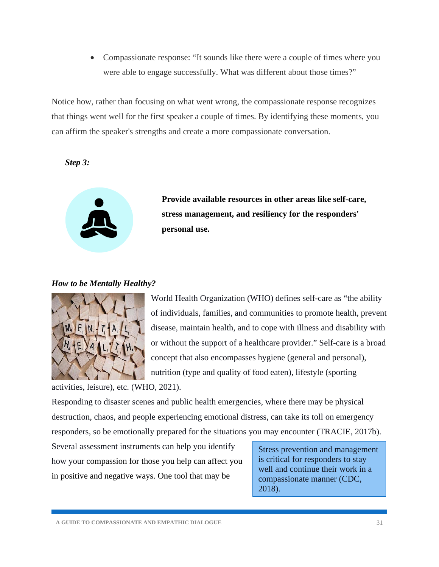• Compassionate response: "It sounds like there were a couple of times where you were able to engage successfully. What was different about those times?"

Notice how, rather than focusing on what went wrong, the compassionate response recognizes that things went well for the first speaker a couple of times. By identifying these moments, you can affirm the speaker's strengths and create a more compassionate conversation.

<span id="page-31-0"></span>*Step 3:* 



**Provide available resources in other areas like self-care, stress management, and resiliency for the responders' personal use.** 

#### <span id="page-31-1"></span>*How to be Mentally Healthy?*



World Health Organization (WHO) defines self-care as "the ability of individuals, families, and communities to promote health, prevent disease, maintain health, and to cope with illness and disability with or without the support of a healthcare provider." Self-care is a broad concept that also encompasses hygiene (general and personal), nutrition (type and quality of food eaten), lifestyle (sporting

activities, leisure), etc. (WHO, 2021).

Responding to disaster scenes and public health emergencies, where there may be physical destruction, chaos, and people experiencing emotional distress, can take its toll on emergency responders, so be emotionally prepared for the situations you may encounter (TRACIE, 2017b).

Several assessment instruments can help you identify how your compassion for those you help can affect you in positive and negative ways. One tool that may be

Stress prevention and management is critical for responders to stay well and continue their work in a compassionate manner (CDC, 2018).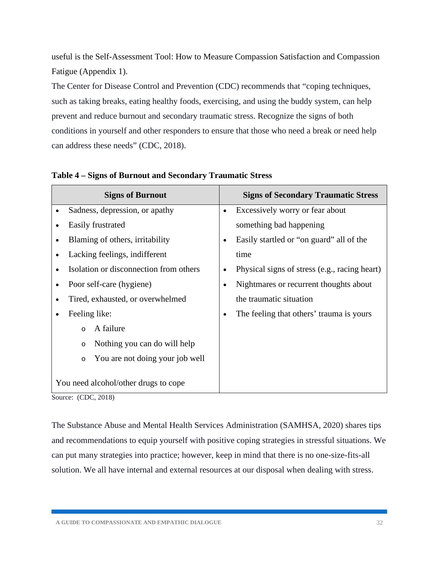useful is the Self-Assessment Tool: How to Measure Compassion Satisfaction and Compassion Fatigue (Appendix 1).

The Center for Disease Control and Prevention (CDC) recommends that "coping techniques, such as taking breaks, eating healthy foods, exercising, and using the buddy system, can help prevent and reduce burnout and secondary traumatic stress. Recognize the signs of both conditions in yourself and other responders to ensure that those who need a break or need help can address these needs" (CDC, 2018).

| <b>Signs of Burnout</b>                              | <b>Signs of Secondary Traumatic Stress</b>                 |
|------------------------------------------------------|------------------------------------------------------------|
| Sadness, depression, or apathy<br>$\bullet$          | Excessively worry or fear about<br>$\bullet$               |
| Easily frustrated<br>$\bullet$                       | something bad happening                                    |
| Blaming of others, irritability<br>$\bullet$         | Easily startled or "on guard" all of the<br>$\bullet$      |
| Lacking feelings, indifferent<br>$\bullet$           | time                                                       |
| Isolation or disconnection from others<br>$\bullet$  | Physical signs of stress (e.g., racing heart)<br>$\bullet$ |
| Poor self-care (hygiene)<br>$\bullet$                | Nightmares or recurrent thoughts about<br>$\bullet$        |
| Tired, exhausted, or overwhelmed<br>$\bullet$        | the traumatic situation                                    |
| Feeling like:<br>$\bullet$                           | The feeling that others' trauma is yours<br>٠              |
| A failure<br>$\circ$                                 |                                                            |
| Nothing you can do will help<br>$\circ$              |                                                            |
| You are not doing your job well<br>$\circ$           |                                                            |
| You need alcohol/other drugs to cope<br>(CDO A 0.10) |                                                            |

#### **Table 4 – Signs of Burnout and Secondary Traumatic Stress**

Source: (CDC, 2018)

The Substance Abuse and Mental Health Services Administration (SAMHSA, 2020) shares tips and recommendations to equip yourself with positive coping strategies in stressful situations. We can put many strategies into practice; however, keep in mind that there is no one-size-fits-all solution. We all have internal and external resources at our disposal when dealing with stress.

**A GUIDE TO COMPASSIONATE AND EMPATHIC DIALOGUE** 32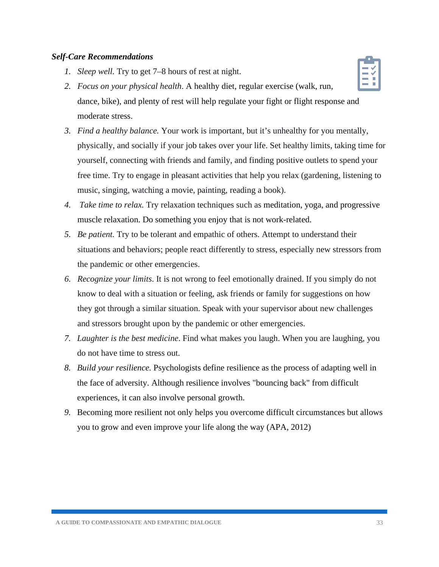#### <span id="page-33-0"></span>*Self-Care Recommendations*

*1. Sleep well.* Try to get 7–8 hours of rest at night.



- *3. Find a healthy balance.* Your work is important, but it's unhealthy for you mentally, physically, and socially if your job takes over your life. Set healthy limits, taking time for yourself, connecting with friends and family, and finding positive outlets to spend your free time. Try to engage in pleasant activities that help you relax (gardening, listening to music, singing, watching a movie, painting, reading a book).
- *4. Take time to relax.* Try relaxation techniques such as meditation, yoga, and progressive muscle relaxation. Do something you enjoy that is not work-related.
- *5. Be patient.* Try to be tolerant and empathic of others. Attempt to understand their situations and behaviors; people react differently to stress, especially new stressors from the pandemic or other emergencies.
- *6. Recognize your limits*. It is not wrong to feel emotionally drained. If you simply do not know to deal with a situation or feeling, ask friends or family for suggestions on how they got through a similar situation. Speak with your supervisor about new challenges and stressors brought upon by the pandemic or other emergencies.
- *7. Laughter is the best medicine*. Find what makes you laugh. When you are laughing, you do not have time to stress out.
- *8. Build your resilience.* Psychologists define resilience as the process of adapting well in the face of adversity. Although resilience involves "bouncing back" from difficult experiences, it can also involve personal growth.
- *9.* Becoming more resilient not only helps you overcome difficult circumstances but allows you to grow and even improve your life along the way (APA, 2012)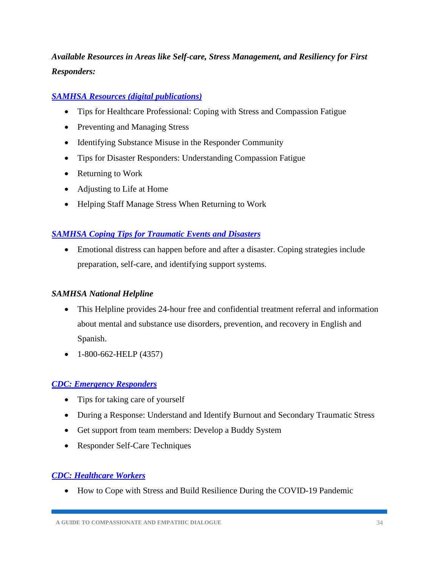## <span id="page-34-0"></span>*Available Resources in Areas like Self-care, Stress Management, and Resiliency for First Responders:*

#### *[SAMHSA Resources \(digital publications\)](https://store.samhsa.gov/?v=professional_and_research_topics&f%5b0%5d=population_group:5298)*

- Tips for Healthcare Professional: Coping with Stress and Compassion Fatigue
- Preventing and Managing Stress
- Identifying Substance Misuse in the Responder Community
- Tips for Disaster Responders: Understanding Compassion Fatigue
- Returning to Work
- Adjusting to Life at Home
- Helping Staff Manage Stress When Returning to Work

#### *[SAMHSA Coping Tips for Traumatic Events and Disasters](https://www.samhsa.gov/find-help/disaster-distress-helpline/coping-tips)*

• Emotional distress can happen before and after a disaster. Coping strategies include preparation, self-care, and identifying support systems.

#### *SAMHSA National Helpline*

- This Helpline provides 24-hour free and confidential treatment referral and information about mental and substance use disorders, prevention, and recovery in English and Spanish.
- 1-800-662-HELP (4357)

#### *[CDC: Emergency Responders](https://emergency.cdc.gov/coping/responders.asp)*

- Tips for taking care of yourself
- During a Response: Understand and Identify Burnout and Secondary Traumatic Stress
- Get support from team members: Develop a Buddy System
- Responder Self-Care Techniques

#### *[CDC: Healthcare Workers](https://www.cdc.gov/coronavirus/2019-ncov/hcp/mental-health-healthcare.html)*

• How to Cope with Stress and Build Resilience During the COVID-19 Pandemic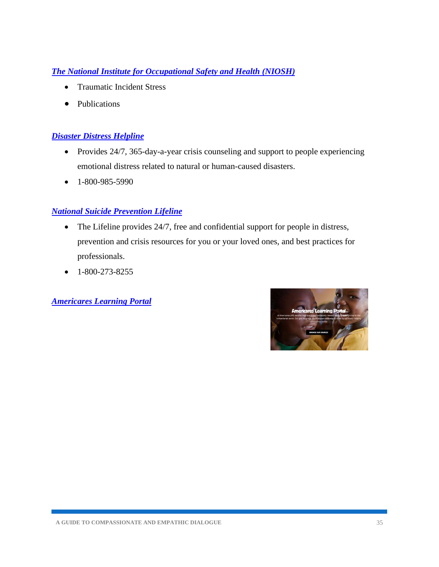#### *[The National Institute for Occupational Safety and Health \(NIOSH\)](https://www.cdc.gov/niosh/topics/traumaticincident/)*

- Traumatic Incident Stress
- Publications

#### *[Disaster Distress Helpline](https://www.samhsa.gov/find-help/disaster-distress-helpline)*

- Provides 24/7, 365-day-a-year crisis counseling and support to people experiencing emotional distress related to natural or human-caused disasters.
- 1-800-985-5990

#### *[National Suicide Prevention Lifeline](https://suicidepreventionlifeline.org/)*

- The Lifeline provides 24/7, free and confidential support for people in distress, prevention and crisis resources for you or your loved ones, and best practices for professionals.
- $\bullet$  1-800-273-8255

*[Americares Learning Portal](https://lms.americares.org/)*

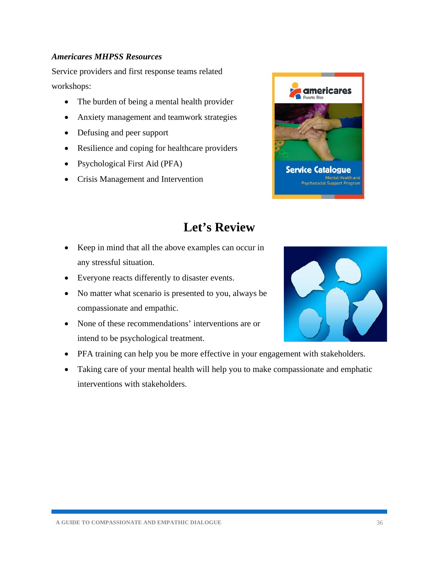#### *Americares MHPSS Resources*

Service providers and first response teams related workshops:

- The burden of being a mental health provider
- Anxiety management and teamwork strategies
- Defusing and peer support
- Resilience and coping for healthcare providers
- Psychological First Aid (PFA)
- Crisis Management and Intervention



## **Let's Review**

- <span id="page-36-0"></span>• Keep in mind that all the above examples can occur in any stressful situation.
- Everyone reacts differently to disaster events.
- No matter what scenario is presented to you, always be compassionate and empathic.
- None of these recommendations' interventions are or intend to be psychological treatment.



• Taking care of your mental health will help you to make compassionate and emphatic interventions with stakeholders.

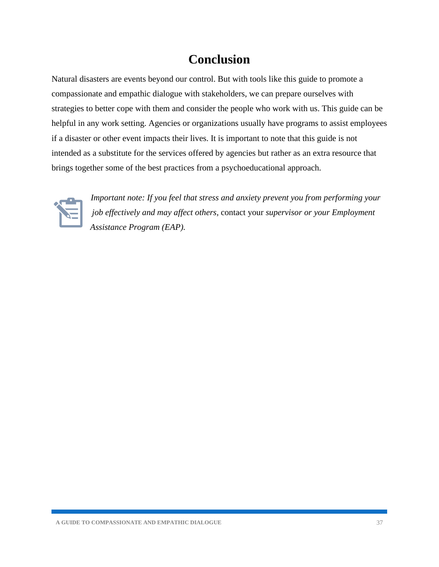## **Conclusion**

<span id="page-37-0"></span>Natural disasters are events beyond our control. But with tools like this guide to promote a compassionate and empathic dialogue with stakeholders, we can prepare ourselves with strategies to better cope with them and consider the people who work with us. This guide can be helpful in any work setting. Agencies or organizations usually have programs to assist employees if a disaster or other event impacts their lives. It is important to note that this guide is not intended as a substitute for the services offered by agencies but rather as an extra resource that brings together some of the best practices from a psychoeducational approach.



*Important note: If you feel that stress and anxiety prevent you from performing your job effectively and may affect others,* contact your *supervisor or your Employment Assistance Program (EAP).*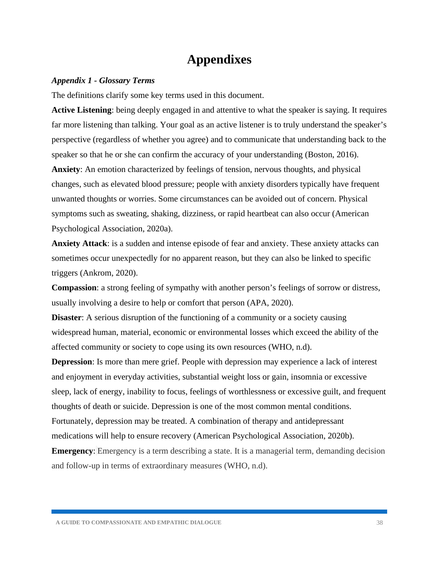## **Appendixes**

#### <span id="page-38-1"></span><span id="page-38-0"></span>*Appendix 1 - Glossary Terms*

The definitions clarify some key terms used in this document.

**Active Listening**: being deeply engaged in and attentive to what the speaker is saying. It requires far more listening than talking. Your goal as an active listener is to truly understand the speaker's perspective (regardless of whether you agree) and to communicate that understanding back to the speaker so that he or she can confirm the accuracy of your understanding (Boston, 2016).

**Anxiety**: An emotion characterized by feelings of tension, nervous thoughts, and physical changes, such as elevated blood pressure; people with anxiety disorders typically have frequent unwanted thoughts or worries. Some circumstances can be avoided out of concern. Physical symptoms such as sweating, shaking, dizziness, or rapid heartbeat can also occur (American Psychological Association, 2020a).

**Anxiety Attack**: is a sudden and intense episode of fear and anxiety. These anxiety attacks can sometimes occur unexpectedly for no apparent reason, but they can also be linked to specific triggers (Ankrom, 2020).

**Compassion**: a strong feeling of sympathy with another person's feelings of sorrow or distress, usually involving a desire to help or comfort that person (APA, 2020).

**Disaster:** A serious disruption of the functioning of a community or a society causing widespread human, material, economic or environmental losses which exceed the ability of the affected community or society to cope using its own resources (WHO, n.d).

**Depression**: Is more than mere grief. People with depression may experience a lack of interest and enjoyment in everyday activities, substantial weight loss or gain, insomnia or excessive sleep, lack of energy, inability to focus, feelings of worthlessness or excessive guilt, and frequent thoughts of death or suicide. Depression is one of the most common mental conditions. Fortunately, depression may be treated. A combination of therapy and antidepressant medications will help to ensure recovery (American Psychological Association, 2020b).

**Emergency:** Emergency is a term describing a state. It is a managerial term, demanding decision and follow-up in terms of extraordinary measures (WHO, n.d).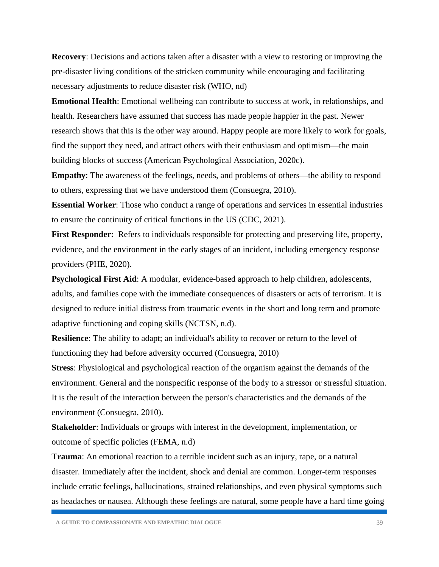**Recovery**: Decisions and actions taken after a disaster with a view to restoring or improving the pre-disaster living conditions of the stricken community while encouraging and facilitating necessary adjustments to reduce disaster risk (WHO, nd)

**Emotional Health**: Emotional wellbeing can contribute to success at work, in relationships, and health. Researchers have assumed that success has made people happier in the past. Newer research shows that this is the other way around. Happy people are more likely to work for goals, find the support they need, and attract others with their enthusiasm and optimism—the main building blocks of success (American Psychological Association, 2020c).

**Empathy**: The awareness of the feelings, needs, and problems of others—the ability to respond to others, expressing that we have understood them (Consuegra, 2010).

**Essential Worker**: Those who conduct a range of operations and services in essential industries to ensure the continuity of critical functions in the US (CDC, 2021).

**First Responder:** Refers to individuals responsible for protecting and preserving life, property, evidence, and the environment in the early stages of an incident, including emergency response providers (PHE, 2020).

**Psychological First Aid**: A modular, evidence-based approach to help children, adolescents, adults, and families cope with the immediate consequences of disasters or acts of terrorism. It is designed to reduce initial distress from traumatic events in the short and long term and promote adaptive functioning and coping skills (NCTSN, n.d).

**Resilience**: The ability to adapt; an individual's ability to recover or return to the level of functioning they had before adversity occurred (Consuegra, 2010)

**Stress**: Physiological and psychological reaction of the organism against the demands of the environment. General and the nonspecific response of the body to a stressor or stressful situation. It is the result of the interaction between the person's characteristics and the demands of the environment (Consuegra, 2010).

**Stakeholder**: Individuals or groups with interest in the development, implementation, or outcome of specific policies (FEMA, n.d)

**Trauma**: An emotional reaction to a terrible incident such as an injury, rape, or a natural disaster. Immediately after the incident, shock and denial are common. Longer-term responses include erratic feelings, hallucinations, strained relationships, and even physical symptoms such as headaches or nausea. Although these feelings are natural, some people have a hard time going

**A GUIDE TO COMPASSIONATE AND EMPATHIC DIALOGUE** 39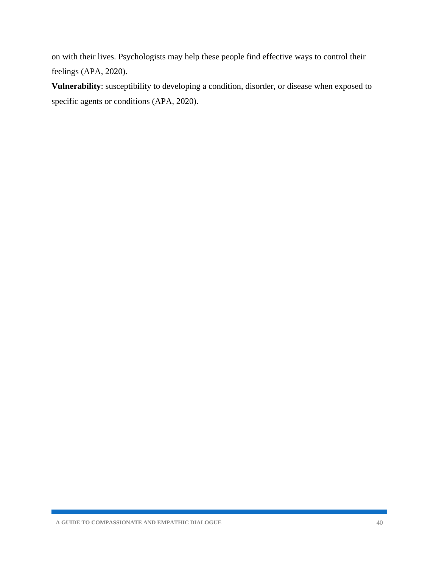on with their lives. Psychologists may help these people find effective ways to control their feelings (APA, 2020).

**Vulnerability**: susceptibility to developing a condition, disorder, or disease when exposed to specific agents or conditions (APA, 2020).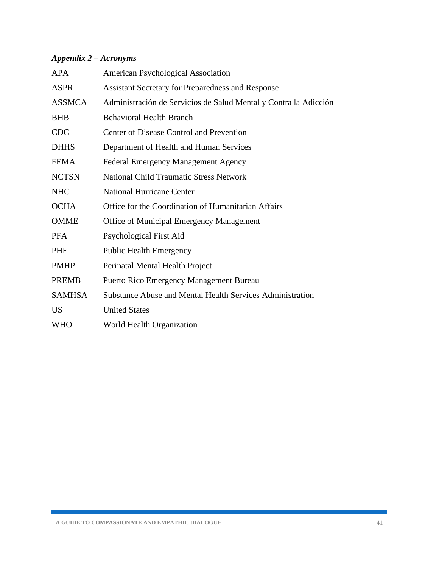### <span id="page-41-0"></span>*Appendix 2 – Acronyms*

| <b>APA</b>    | American Psychological Association                               |
|---------------|------------------------------------------------------------------|
| <b>ASPR</b>   | Assistant Secretary for Preparedness and Response                |
| <b>ASSMCA</b> | Administración de Servicios de Salud Mental y Contra la Adicción |
| <b>BHB</b>    | <b>Behavioral Health Branch</b>                                  |
| <b>CDC</b>    | Center of Disease Control and Prevention                         |
| <b>DHHS</b>   | Department of Health and Human Services                          |
| <b>FEMA</b>   | <b>Federal Emergency Management Agency</b>                       |
| <b>NCTSN</b>  | <b>National Child Traumatic Stress Network</b>                   |
| <b>NHC</b>    | <b>National Hurricane Center</b>                                 |
| <b>OCHA</b>   | Office for the Coordination of Humanitarian Affairs              |
| <b>OMME</b>   | Office of Municipal Emergency Management                         |
| <b>PFA</b>    | Psychological First Aid                                          |
| PHE           | <b>Public Health Emergency</b>                                   |
| <b>PMHP</b>   | Perinatal Mental Health Project                                  |
| <b>PREMB</b>  | <b>Puerto Rico Emergency Management Bureau</b>                   |
| <b>SAMHSA</b> | <b>Substance Abuse and Mental Health Services Administration</b> |
| <b>US</b>     | <b>United States</b>                                             |
| <b>WHO</b>    | World Health Organization                                        |
|               |                                                                  |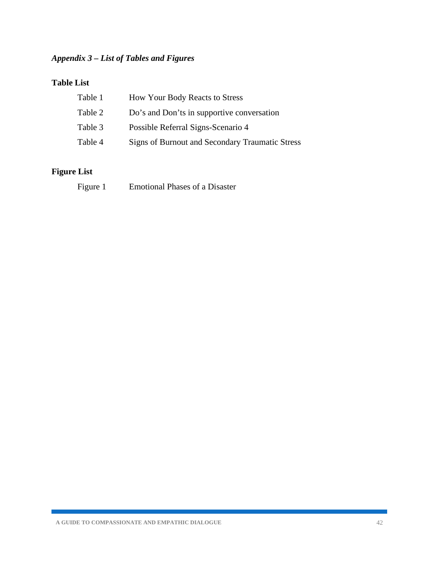### <span id="page-42-0"></span>*Appendix 3 – List of Tables and Figures*

#### **Table List**

| Table 1 | <b>How Your Body Reacts to Stress</b>           |
|---------|-------------------------------------------------|
| Table 2 | Do's and Don'ts in supportive conversation      |
| Table 3 | Possible Referral Signs-Scenario 4              |
| Table 4 | Signs of Burnout and Secondary Traumatic Stress |

## **Figure List**

| <b>Emotional Phases of a Disaster</b><br>Figure 1 |
|---------------------------------------------------|
|---------------------------------------------------|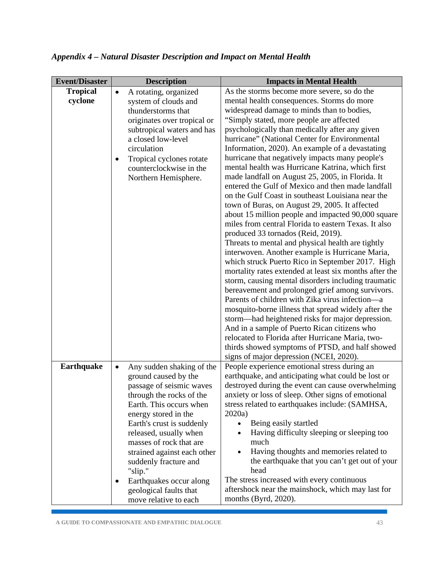| <b>Event/Disaster</b> | <b>Description</b>                                                                                                                                                                                                                                                                 | <b>Impacts in Mental Health</b>                                                                                                                                                                                                                                                                                                                                                                                                                                                                                                                                                                                                                                                                                                                                                                                                                                                                                                                                                                                                                                                                                                                                                                                                                                                                                                                                                                                             |
|-----------------------|------------------------------------------------------------------------------------------------------------------------------------------------------------------------------------------------------------------------------------------------------------------------------------|-----------------------------------------------------------------------------------------------------------------------------------------------------------------------------------------------------------------------------------------------------------------------------------------------------------------------------------------------------------------------------------------------------------------------------------------------------------------------------------------------------------------------------------------------------------------------------------------------------------------------------------------------------------------------------------------------------------------------------------------------------------------------------------------------------------------------------------------------------------------------------------------------------------------------------------------------------------------------------------------------------------------------------------------------------------------------------------------------------------------------------------------------------------------------------------------------------------------------------------------------------------------------------------------------------------------------------------------------------------------------------------------------------------------------------|
| <b>Tropical</b>       | A rotating, organized<br>$\bullet$                                                                                                                                                                                                                                                 | As the storms become more severe, so do the                                                                                                                                                                                                                                                                                                                                                                                                                                                                                                                                                                                                                                                                                                                                                                                                                                                                                                                                                                                                                                                                                                                                                                                                                                                                                                                                                                                 |
| cyclone               | system of clouds and<br>thunderstorms that<br>originates over tropical or<br>subtropical waters and has<br>a closed low-level<br>circulation<br>Tropical cyclones rotate<br>counterclockwise in the<br>Northern Hemisphere.                                                        | mental health consequences. Storms do more<br>widespread damage to minds than to bodies,<br>"Simply stated, more people are affected<br>psychologically than medically after any given<br>hurricane" (National Center for Environmental<br>Information, 2020). An example of a devastating<br>hurricane that negatively impacts many people's<br>mental health was Hurricane Katrina, which first<br>made landfall on August 25, 2005, in Florida. It<br>entered the Gulf of Mexico and then made landfall<br>on the Gulf Coast in southeast Louisiana near the<br>town of Buras, on August 29, 2005. It affected<br>about 15 million people and impacted 90,000 square<br>miles from central Florida to eastern Texas. It also<br>produced 33 tornados (Reid, 2019).<br>Threats to mental and physical health are tightly<br>interwoven. Another example is Hurricane Maria,<br>which struck Puerto Rico in September 2017. High<br>mortality rates extended at least six months after the<br>storm, causing mental disorders including traumatic<br>bereavement and prolonged grief among survivors.<br>Parents of children with Zika virus infection—a<br>mosquito-borne illness that spread widely after the<br>storm—had heightened risks for major depression.<br>And in a sample of Puerto Rican citizens who<br>relocated to Florida after Hurricane Maria, two-<br>thirds showed symptoms of PTSD, and half showed |
| Earthquake            | Any sudden shaking of the<br>$\bullet$<br>ground caused by the<br>passage of seismic waves<br>through the rocks of the                                                                                                                                                             | signs of major depression (NCEI, 2020).<br>People experience emotional stress during an<br>earthquake, and anticipating what could be lost or<br>destroyed during the event can cause overwhelming<br>anxiety or loss of sleep. Other signs of emotional                                                                                                                                                                                                                                                                                                                                                                                                                                                                                                                                                                                                                                                                                                                                                                                                                                                                                                                                                                                                                                                                                                                                                                    |
|                       | Earth. This occurs when<br>energy stored in the<br>Earth's crust is suddenly<br>released, usually when<br>masses of rock that are<br>strained against each other<br>suddenly fracture and<br>"slip."<br>Earthquakes occur along<br>geological faults that<br>move relative to each | stress related to earthquakes include: (SAMHSA,<br>2020a)<br>Being easily startled<br>$\bullet$<br>Having difficulty sleeping or sleeping too<br>$\bullet$<br>much<br>Having thoughts and memories related to<br>the earthquake that you can't get out of your<br>head<br>The stress increased with every continuous<br>aftershock near the mainshock, which may last for<br>months (Byrd, 2020).                                                                                                                                                                                                                                                                                                                                                                                                                                                                                                                                                                                                                                                                                                                                                                                                                                                                                                                                                                                                                           |

<span id="page-43-0"></span>*Appendix 4 – Natural Disaster Description and Impact on Mental Health*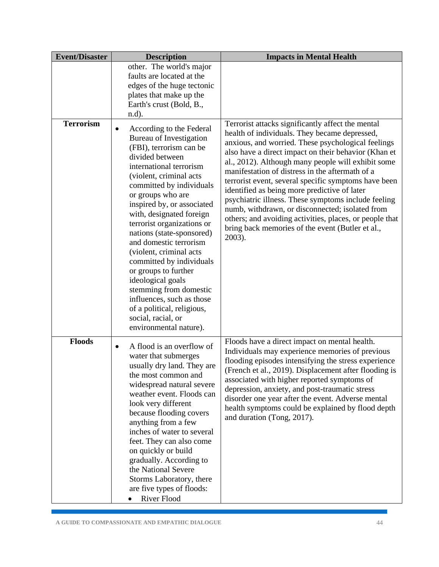| <b>Event/Disaster</b> | <b>Description</b>                                                                                                                                                                                                                                                                                                                                                                                                                                                                                                                                                                               | <b>Impacts in Mental Health</b>                                                                                                                                                                                                                                                                                                                                                                                                                                                                                                                                                                                                                                      |
|-----------------------|--------------------------------------------------------------------------------------------------------------------------------------------------------------------------------------------------------------------------------------------------------------------------------------------------------------------------------------------------------------------------------------------------------------------------------------------------------------------------------------------------------------------------------------------------------------------------------------------------|----------------------------------------------------------------------------------------------------------------------------------------------------------------------------------------------------------------------------------------------------------------------------------------------------------------------------------------------------------------------------------------------------------------------------------------------------------------------------------------------------------------------------------------------------------------------------------------------------------------------------------------------------------------------|
|                       | other. The world's major<br>faults are located at the<br>edges of the huge tectonic<br>plates that make up the<br>Earth's crust (Bold, B.,<br>$n.d$ ).                                                                                                                                                                                                                                                                                                                                                                                                                                           |                                                                                                                                                                                                                                                                                                                                                                                                                                                                                                                                                                                                                                                                      |
| <b>Terrorism</b>      | According to the Federal<br>Bureau of Investigation<br>(FBI), terrorism can be<br>divided between<br>international terrorism<br>(violent, criminal acts<br>committed by individuals<br>or groups who are<br>inspired by, or associated<br>with, designated foreign<br>terrorist organizations or<br>nations (state-sponsored)<br>and domestic terrorism<br>(violent, criminal acts<br>committed by individuals<br>or groups to further<br>ideological goals<br>stemming from domestic<br>influences, such as those<br>of a political, religious,<br>social, racial, or<br>environmental nature). | Terrorist attacks significantly affect the mental<br>health of individuals. They became depressed,<br>anxious, and worried. These psychological feelings<br>also have a direct impact on their behavior (Khan et<br>al., 2012). Although many people will exhibit some<br>manifestation of distress in the aftermath of a<br>terrorist event, several specific symptoms have been<br>identified as being more predictive of later<br>psychiatric illness. These symptoms include feeling<br>numb, withdrawn, or disconnected; isolated from<br>others; and avoiding activities, places, or people that<br>bring back memories of the event (Butler et al.,<br>2003). |
| <b>Floods</b>         | A flood is an overflow of<br>$\bullet$<br>water that submerges<br>usually dry land. They are<br>the most common and<br>widespread natural severe<br>weather event. Floods can<br>look very different<br>because flooding covers<br>anything from a few<br>inches of water to several<br>feet. They can also come<br>on quickly or build<br>gradually. According to<br>the National Severe<br>Storms Laboratory, there<br>are five types of floods:<br>River Flood                                                                                                                                | Floods have a direct impact on mental health.<br>Individuals may experience memories of previous<br>flooding episodes intensifying the stress experience<br>(French et al., 2019). Displacement after flooding is<br>associated with higher reported symptoms of<br>depression, anxiety, and post-traumatic stress<br>disorder one year after the event. Adverse mental<br>health symptoms could be explained by flood depth<br>and duration (Tong, 2017).                                                                                                                                                                                                           |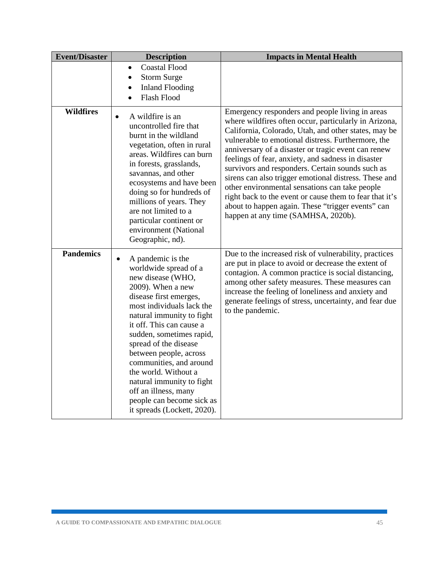| <b>Event/Disaster</b> | <b>Description</b>                                                                                                                                                                                                                                                                                                                                                                                                                                      | <b>Impacts in Mental Health</b>                                                                                                                                                                                                                                                                                                                                                                                                                                                                                                                                                                                                                           |
|-----------------------|---------------------------------------------------------------------------------------------------------------------------------------------------------------------------------------------------------------------------------------------------------------------------------------------------------------------------------------------------------------------------------------------------------------------------------------------------------|-----------------------------------------------------------------------------------------------------------------------------------------------------------------------------------------------------------------------------------------------------------------------------------------------------------------------------------------------------------------------------------------------------------------------------------------------------------------------------------------------------------------------------------------------------------------------------------------------------------------------------------------------------------|
|                       | <b>Coastal Flood</b><br><b>Storm Surge</b><br><b>Inland Flooding</b><br>Flash Flood                                                                                                                                                                                                                                                                                                                                                                     |                                                                                                                                                                                                                                                                                                                                                                                                                                                                                                                                                                                                                                                           |
| <b>Wildfires</b>      | A wildfire is an<br>$\bullet$<br>uncontrolled fire that<br>burnt in the wildland<br>vegetation, often in rural<br>areas. Wildfires can burn<br>in forests, grasslands,<br>savannas, and other<br>ecosystems and have been<br>doing so for hundreds of<br>millions of years. They<br>are not limited to a<br>particular continent or<br>environment (National<br>Geographic, nd).                                                                        | Emergency responders and people living in areas<br>where wildfires often occur, particularly in Arizona,<br>California, Colorado, Utah, and other states, may be<br>vulnerable to emotional distress. Furthermore, the<br>anniversary of a disaster or tragic event can renew<br>feelings of fear, anxiety, and sadness in disaster<br>survivors and responders. Certain sounds such as<br>sirens can also trigger emotional distress. These and<br>other environmental sensations can take people<br>right back to the event or cause them to fear that it's<br>about to happen again. These "trigger events" can<br>happen at any time (SAMHSA, 2020b). |
| <b>Pandemics</b>      | A pandemic is the<br>worldwide spread of a<br>new disease (WHO,<br>2009). When a new<br>disease first emerges,<br>most individuals lack the<br>natural immunity to fight<br>it off. This can cause a<br>sudden, sometimes rapid,<br>spread of the disease<br>between people, across<br>communities, and around<br>the world. Without a<br>natural immunity to fight<br>off an illness, many<br>people can become sick as<br>it spreads (Lockett, 2020). | Due to the increased risk of vulnerability, practices<br>are put in place to avoid or decrease the extent of<br>contagion. A common practice is social distancing,<br>among other safety measures. These measures can<br>increase the feeling of loneliness and anxiety and<br>generate feelings of stress, uncertainty, and fear due<br>to the pandemic.                                                                                                                                                                                                                                                                                                 |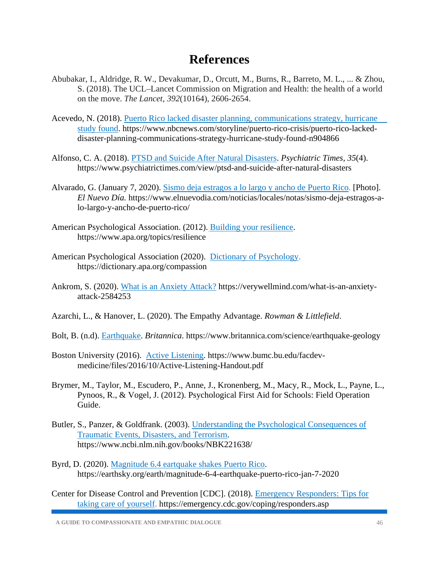## **References**

- <span id="page-46-0"></span>Abubakar, I., Aldridge, R. W., Devakumar, D., Orcutt, M., Burns, R., Barreto, M. L., ... & Zhou, S. (2018). The UCL–Lancet Commission on Migration and Health: the health of a world on the move. *The Lancet*, *392*(10164), 2606-2654.
- Acevedo, N. (2018). [Puerto Rico lacked disaster planning, communications strategy, hurricane](https://www.nbcnews.com/storyline/puerto-rico-crisis/puerto-rico-lacked-disaster-planning-communications-strategy-hurricane-study-found-n904866)  [study found.](https://www.nbcnews.com/storyline/puerto-rico-crisis/puerto-rico-lacked-disaster-planning-communications-strategy-hurricane-study-found-n904866) https://www.nbcnews.com/storyline/puerto-rico-crisis/puerto-rico-lackeddisaster-planning-communications-strategy-hurricane-study-found-n904866
- Alfonso, C. A. (2018). [PTSD and Suicide After Natural Disasters.](https://www.psychiatrictimes.com/view/ptsd-and-suicide-after-natural-disasters) *Psychiatric Times, 35*(4). https://www.psychiatrictimes.com/view/ptsd-and-suicide-after-natural-disasters
- Alvarado, G. (January 7, 2020). [Sismo deja estragos a lo largo y ancho de Puerto Rico.](https://www.elnuevodia.com/noticias/locales/notas/sismo-deja-estragos-a-lo-largo-y-ancho-de-puerto-rico/) [Photo]. *El Nuevo Día.* https://www.elnuevodia.com/noticias/locales/notas/sismo-deja-estragos-alo-largo-y-ancho-de-puerto-rico/
- American Psychological Association. (2012). [Building your resilience.](https://www.apa.org/topics/resilience) https://www.apa.org/topics/resilience
- American Psychological Association (2020). [Dictionary of Psychology.](https://dictionary.apa.org/compassion) https://dictionary.apa.org/compassion
- Ankrom, S. (2020). [What is an Anxiety Attack?](https://verywellmind.com/what-is-an-anxiety-) https://verywellmind.com/what-is-an-anxietyattack-2584253
- Azarchi, L., & Hanover, L. (2020). The Empathy Advantage. *Rowman & Littlefield*.
- Bolt, B. (n.d). [Earthquake.](https://www.britannica.com/science/earthquake-geology) *Britannica*. https://www.britannica.com/science/earthquake-geology
- Boston University (2016). [Active Listening.](https://www.bumc.bu.edu/facdev-) https://www.bumc.bu.edu/facdevmedicine/files/2016/10/Active-Listening-Handout.pdf
- Brymer, M., Taylor, M., Escudero, P., Anne, J., Kronenberg, M., Macy, R., Mock, L., Payne, L., Pynoos, R., & Vogel, J. (2012). Psychological First Aid for Schools: Field Operation Guide.
- Butler, S., Panzer, & Goldfrank. (2003). [Understanding the Psychological Consequences of](https://www.ncbi.nlm.nih.gov/books/NBK221638/)  [Traumatic Events, Disasters, and Terrorism.](https://www.ncbi.nlm.nih.gov/books/NBK221638/) https://www.ncbi.nlm.nih.gov/books/NBK221638/
- Byrd, D. (2020). [Magnitude 6.4 eartquake shakes Puerto Rico.](https://earthsky.org/earth/magnitude-6-4-earthquake-puerto-rico-jan-7-2020) https://earthsky.org/earth/magnitude-6-4-earthquake-puerto-rico-jan-7-2020
- Center for Disease Control and Prevention [CDC]. (2018). [Emergency Responders: Tips for](https://emergency.cdc.gov/coping/responders.asp)  [taking care of yourself.](https://emergency.cdc.gov/coping/responders.asp) https://emergency.cdc.gov/coping/responders.asp

**A GUIDE TO COMPASSIONATE AND EMPATHIC DIALOGUE** 46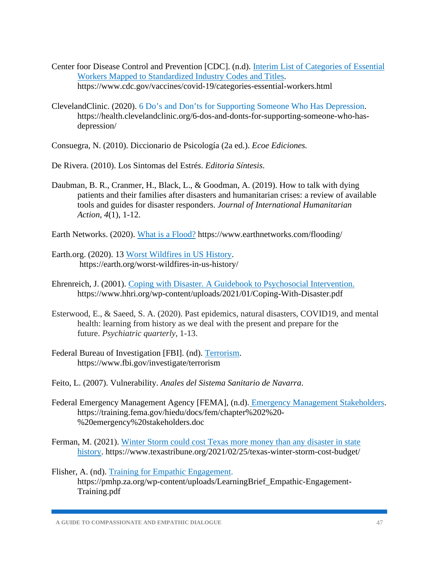- Center foor Disease Control and Prevention [CDC]. (n.d). [Interim List of Categories of Essential](https://www.cdc.gov/vaccines/covid-19/categories-essential-workers.html)  [Workers Mapped to Standardized Industry Codes and Titles.](https://www.cdc.gov/vaccines/covid-19/categories-essential-workers.html) https://www.cdc.gov/vaccines/covid-19/categories-essential-workers.html
- ClevelandClinic. (2020). [6 Do's and Don'ts for Supporting Someone Who Has Depression.](https://health.clevelandclinic.org/6-dos-and-donts-for-supporting-someone-who-has- depression/) https://health.clevelandclinic.org/6-dos-and-donts-for-supporting-someone-who-hasdepression/
- Consuegra, N. (2010). Diccionario de Psicología (2a ed.). *Ecoe Ediciones.*
- De Rivera. (2010). Los Sintomas del Estré*s*. *Editoria Síntesis*.
- Daubman, B. R., Cranmer, H., Black, L., & Goodman, A. (2019). How to talk with dying patients and their families after disasters and humanitarian crises: a review of available tools and guides for disaster responders. *Journal of International Humanitarian Action*, *4*(1), 1-12.

Earth Networks. (2020). [What is a Flood?](https://www.earthnetworks.com/flooding/) https://www.earthnetworks.com/flooding/

- Earth.org. (2020). 13 [Worst Wildfires in US History.](https://earth.org/worst-wildfires-in-us-history/) https://earth.org/worst-wildfires-in-us-history/
- Ehrenreich, J. (2001). [Coping with Disaster. A Guidebook to Psychosocial Intervention.](https://www.hhri.org/wp-content/uploads/2021/01/Coping-With-Disaster.pdf) https://www.hhri.org/wp-content/uploads/2021/01/Coping-With-Disaster.pdf
- Esterwood, E., & Saeed, S. A. (2020). Past epidemics, natural disasters, COVID19, and mental health: learning from history as we deal with the present and prepare for the future. *Psychiatric quarterly*, 1-13.
- Federal Bureau of Investigation [FBI]. (nd). [Terrorism.](https://www.fbi.gov/investigate/terrorism) https://www.fbi.gov/investigate/terrorism
- Feito, L. (2007). Vulnerability. *Anales del Sistema Sanitario de Navarra*.
- Federal Emergency Management Agency [FEMA], (n.d). [Emergency Management Stakeholders.](https://training.fema.gov/hiedu/docs/fem/chapter%202%20-%20emergency%20stakeholders.doc) https://training.fema.gov/hiedu/docs/fem/chapter%202%20- %20emergency%20stakeholders.doc
- Ferman, M. (2021). [Winter Storm could cost Texas more money than any disaster in state](https://www.texastribune.org/2021/02/25/texas-winter-storm-cost-budget/) [history.](https://www.texastribune.org/2021/02/25/texas-winter-storm-cost-budget/) https://www.texastribune.org/2021/02/25/texas-winter-storm-cost-budget/

Flisher, A. (nd). [Training for Empathic Engagement.](https://pmhp.za.org/wp-content/uploads/LearningBrief_Empathic-Engagement-Training.pdf) https://pmhp.za.org/wp-content/uploads/LearningBrief\_Empathic-Engagement-Training.pdf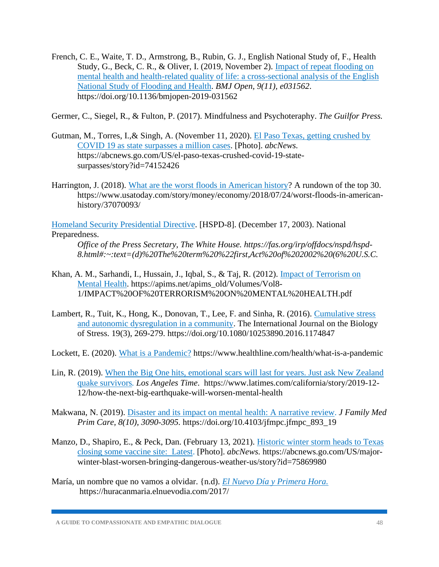French, C. E., Waite, T. D., Armstrong, B., Rubin, G. J., English National Study of, F., Health Study, G., Beck, C. R., & Oliver, I. (2019, November 2). [Impact of repeat flooding on](https://doi.org/10.1136/bmjopen-2019-031562)  [mental health and health-related quality of life: a cross-sectional analysis of the English](https://doi.org/10.1136/bmjopen-2019-031562)  [National Study of Flooding and Health.](https://doi.org/10.1136/bmjopen-2019-031562) *BMJ Open, 9(11), e031562*. https://doi.org/10.1136/bmjopen-2019-031562

Germer, C., Siegel, R., & Fulton, P. (2017). Mindfulness and Psychoteraphy. *The Guilfor Press.*

- Gutman, M., Torres, I.,& Singh, A. (November 11, 2020). [El Paso Texas, getting crushed by](https://abcnews.go.com/US/el-paso-texas-crushed-covid-19-state-surpasses/story?id=74152426)  [COVID 19 as state surpasses a million cases.](https://abcnews.go.com/US/el-paso-texas-crushed-covid-19-state-surpasses/story?id=74152426) [Photo]. *abcNews.* https://abcnews.go.com/US/el-paso-texas-crushed-covid-19-statesurpasses/story?id=74152426
- Harrington, J. (2018). [What are the worst floods in American history?](https://www.usatoday.com/story/money/economy/2018/07/24/worst-floods-in-american-history/37070093/) A rundown of the top 30. https://www.usatoday.com/story/money/economy/2018/07/24/worst-floods-in-americanhistory/37070093/

[Homeland Security Presidential Directive.](https://www.usatoday.com/story/money/economy/2018/07/24/worst-floods-in-american-history/37070093/) [HSPD-8]. (December 17, 2003). National Preparedness.

*Office of the Press Secretary, The White House. https://fas.org/irp/offdocs/nspd/hspd-8.html#:~:text=(d)%20The%20term%20%22first,Act%20of%202002%20(6%20U.S.C.* 

- Khan, A. M., Sarhandi, I., Hussain, J., Iqbal, S., & Taj, R. (2012). *Impact of Terrorism on* [Mental Health.](https://apims.net/apims_old/Volumes/Vol8-1/IMPACT%20OF%20TERRORISM%20ON%20MENTAL%20HEALTH.pdf) https://apims.net/apims\_old/Volumes/Vol8- 1/IMPACT%20OF%20TERRORISM%20ON%20MENTAL%20HEALTH.pdf
- Lambert, R., Tuit, K., Hong, K., Donovan, T., Lee, F. and Sinha, R. (2016). [Cumulative stress](https://doi.org/10.1080/10253890.2016.1174847) [and autonomic dysregulation in a community.](https://doi.org/10.1080/10253890.2016.1174847) The International Journal on the Biology of Stress. 19(3), 269-279. https://doi.org/10.1080/10253890.2016.1174847

Lockett, E. (2020). [What is a Pandemic?](https://www.healthline.com/health/what-is-a-pandemic) https://www.healthline.com/health/what-is-a-pandemic

- Lin, R. (2019). [When the Big One hits, emotional scars will last for years. Just ask New Zealand](https://www.latimes.com/california/story/2019-12-12/how-the-next-big-earthquake-will-worsen-mental-health)  [quake survivors](https://www.latimes.com/california/story/2019-12-12/how-the-next-big-earthquake-will-worsen-mental-health)*. Los Angeles Time*. https://www.latimes.com/california/story/2019-12- 12/how-the-next-big-earthquake-will-worsen-mental-health
- Makwana, N. (2019). [Disaster and its impact on mental health: A narrative review.](https://doi.org/10.4103/jfmpc.jfmpc_893_19) *J Family Med Prim Care, 8(10), 3090-3095.* https://doi.org/10.4103/jfmpc.jfmpc\_893\_19
- Manzo, D., Shapiro, E., & Peck, Dan. (February 13, 2021). [Historic winter storm heads to Texas](https://abcnews.go.com/US/major-winter-blast-worsen-bringing-dangerous-weather-us/story?id=75869980) [closing some vaccine site: Latest.](https://abcnews.go.com/US/major-winter-blast-worsen-bringing-dangerous-weather-us/story?id=75869980) [Photo]. *abcNews.* https://abcnews.go.com/US/majorwinter-blast-worsen-bringing-dangerous-weather-us/story?id=75869980
- María, un nombre que no vamos a olvidar. {n.d). *[El Nuevo Día y Primera Hora.](https://huracanmaria.elnuevodia.com/2017/)* https://huracanmaria.elnuevodia.com/2017/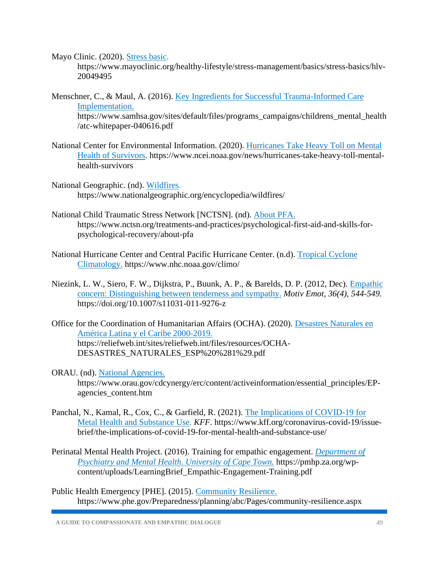Mayo Clinic. (2020). [Stress basic.](https://www.mayoclinic.org/healthy-lifestyle/stress-management/basics/stress-basics/hlv-20049495)

https://www.mayoclinic.org/healthy-lifestyle/stress-management/basics/stress-basics/hlv-20049495

- Menschner, C., & Maul, A. (2016). [Key Ingredients for Successful Trauma-Informed Care](https://www.samhsa.gov/sites/default/files/programs_campaigns/childrens_mental_health/atc-whitepaper-040616.pdf) [Implementation.](https://www.samhsa.gov/sites/default/files/programs_campaigns/childrens_mental_health/atc-whitepaper-040616.pdf) https://www.samhsa.gov/sites/default/files/programs\_campaigns/childrens\_mental\_health /atc-whitepaper-040616.pdf
- National Center for Environmental Information. (2020). [Hurricanes Take Heavy Toll on Mental](https://www.ncei.noaa.gov/news/hurricanes-take-heavy-toll-mental-health-survivors)  [Health of Survivors.](https://www.ncei.noaa.gov/news/hurricanes-take-heavy-toll-mental-health-survivors) https://www.ncei.noaa.gov/news/hurricanes-take-heavy-toll-mentalhealth-survivors
- National Geographic. (nd). [Wildfires.](https://www.ncei.noaa.gov/news/hurricanes-take-heavy-toll-mental-health-survivors) https://www.nationalgeographic.org/encyclopedia/wildfires/
- National Child Traumatic Stress Network [NCTSN]. (nd). [About PFA.](https://www.nctsn.org/treatments-and-practices/psychological-first-aid-and-skills-for-psychological-recovery/about-pfa) https://www.nctsn.org/treatments-and-practices/psychological-first-aid-and-skills-forpsychological-recovery/about-pfa
- National Hurricane Center and Central Pacific Hurricane Center. (n.d). [Tropical Cyclone](https://www.nhc.noaa.gov/climo/)  [Climatology.](https://www.nhc.noaa.gov/climo/) https://www.nhc.noaa.gov/climo/
- Niezink, L. W., Siero, F. W., Dijkstra, P., Buunk, A. P., & Barelds, D. P. (2012, Dec). [Empathic](https://doi.org/10.1007/s11031-011-9276-z) [concern: Distinguishing between tenderness and sympathy.](https://doi.org/10.1007/s11031-011-9276-z) *Motiv Emot, 36(4), 544-549.*  https://doi.org/10.1007/s11031-011-9276-z
- Office for the Coordination of Humanitarian Affairs (OCHA). (2020). [Desastres Naturales en](https://reliefweb.int/sites/reliefweb.int/files/resources/OCHA-DESASTRES_NATURALES_ESP%20%281%29.pdf)  [América Latina y el Caribe 2000-2019.](https://reliefweb.int/sites/reliefweb.int/files/resources/OCHA-DESASTRES_NATURALES_ESP%20%281%29.pdf) https://reliefweb.int/sites/reliefweb.int/files/resources/OCHA-DESASTRES\_NATURALES\_ESP%20%281%29.pdf
- ORAU. (nd). [National Agencies.](https://www.orau.gov/cdcynergy/erc/content/activeinformation/essential_principles/EP-agencies_content.htm) https://www.orau.gov/cdcynergy/erc/content/activeinformation/essential\_principles/EPagencies\_content.htm
- Panchal, N., Kamal, R., Cox, C., & Garfield, R. (2021). [The Implications of COVID-19 for](https://www.kff.org/coronavirus-covid-19/issue-brief/the-implications-of-covid-19-for-mental-health-and-substance-use/) [Metal Health and Substance Use.](https://www.kff.org/coronavirus-covid-19/issue-brief/the-implications-of-covid-19-for-mental-health-and-substance-use/) *KFF*. https://www.kff.org/coronavirus-covid-19/issuebrief/the-implications-of-covid-19-for-mental-health-and-substance-use/
- Perinatal Mental Health Project. (2016). Training for empathic engagement. *[Department of](https://pmhp.za.org/wp-content/uploads/LearningBrief_Empathic-Engagement-Training.pdf)  [Psychiatry and Mental Health. University of Cape Town.](https://pmhp.za.org/wp-content/uploads/LearningBrief_Empathic-Engagement-Training.pdf)* https://pmhp.za.org/wpcontent/uploads/LearningBrief\_Empathic-Engagement-Training.pdf
- Public Health Emergency [PHE]. (2015). [Community Resilience.](https://www.phe.gov/Preparedness/planning/abc/Pages/community-resilience.aspx) https://www.phe.gov/Preparedness/planning/abc/Pages/community-resilience.aspx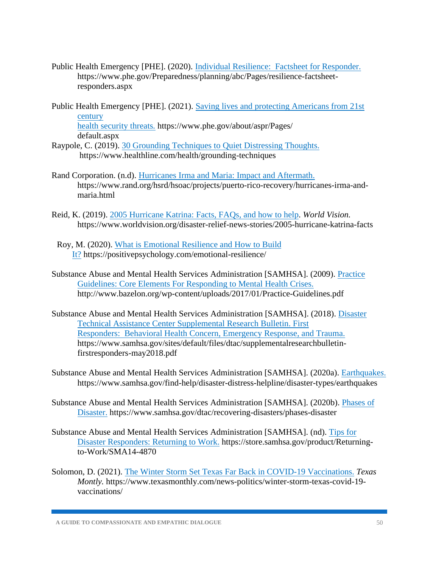- Public Health Emergency [PHE]. (2020). [Individual Resilience: Factsheet for Responder.](https://www.phe.gov/Preparedness/planning/abc/Pages/resilience-factsheet-responders.aspx) https://www.phe.gov/Preparedness/planning/abc/Pages/resilience-factsheetresponders.aspx
- Public Health Emergency [PHE]. (2021). [Saving lives and protecting Americans from 21st](https://www.phe.gov/about/aspr/Pages/default.aspx) [century](https://www.phe.gov/about/aspr/Pages/default.aspx)  [health security threats](https://www.phe.gov/about/aspr/Pages/default.aspx)*.* https://www.phe.gov/about/aspr/Pages/ default.aspx
- Raypole, C. (2019). [30 Grounding Techniques to Quiet Distressing Thoughts.](https://www.healthline.com/health/grounding-techniques) https://www.healthline.com/health/grounding-techniques
- Rand Corporation. (n.d). Hurricanes Irma and Maria: Impact and Aftermath. https://www.rand.org/hsrd/hsoac/projects/puerto-rico-recovery/hurricanes-irma-andmaria.html
- Reid, K. (2019). [2005 Hurricane Katrina: Facts, FAQs, and how to help.](https://www.worldvision.org/disaster-relief-news-stories/2005-hurricane-katrina-facts) *World Vision.*  https://www.worldvision.org/disaster-relief-news-stories/2005-hurricane-katrina-facts
- Roy, M. (2020). What is [Emotional Resilience and How to Build](https://positivepsychology.com/emotional-resilience/)  [It?](https://positivepsychology.com/emotional-resilience/) https://positivepsychology.com/emotional-resilience/
- Substance Abuse and Mental Health Services Administration [SAMHSA]. (2009)[. Practice](http://www.bazelon.org/wp-content/uploads/2017/01/Practice-Guidelines.pdf) [Guidelines: Core Elements For Responding to Mental Health Crises.](http://www.bazelon.org/wp-content/uploads/2017/01/Practice-Guidelines.pdf)  http://www.bazelon.org/wp-content/uploads/2017/01/Practice-Guidelines.pdf
- Substance Abuse and Mental Health Services Administration [SAMHSA]. (2018). [Disaster](https://www.samhsa.gov/sites/default/files/dtac/supplementalresearchbulletin-firstresponders-may2018.pdf) [Technical Assistance Center Supplemental Research Bulletin. First](https://www.samhsa.gov/sites/default/files/dtac/supplementalresearchbulletin-firstresponders-may2018.pdf)  [Responders: Behavioral Health Concern, Emergency Response, and Trauma.](https://www.samhsa.gov/sites/default/files/dtac/supplementalresearchbulletin-firstresponders-may2018.pdf)  https://www.samhsa.gov/sites/default/files/dtac/supplementalresearchbulletinfirstresponders-may2018.pdf
- Substance Abuse and Mental Health Services Administration [SAMHSA]. (2020a). [Earthquake](https://www.samhsa.gov/sites/default/files/dtac/supplementalresearchbulletin-firstresponders-may2018.pdf)*s*. https://www.samhsa.gov/find-help/disaster-distress-helpline/disaster-types/earthquakes
- Substance Abuse and Mental Health Services Administration [SAMHSA]. (2020b). [Phases of](https://www.samhsa.gov/dtac/recovering-disasters/phases-disaster) [Disaster.](https://www.samhsa.gov/dtac/recovering-disasters/phases-disaster) https://www.samhsa.gov/dtac/recovering-disasters/phases-disaster
- Substance Abuse and Mental Health Services Administration [SAMHSA]. (nd). [Tips for](https://store.samhsa.gov/product/Returning-to-Work/SMA14-4870) [Disaster Responders: Returning to Work.](https://store.samhsa.gov/product/Returning-to-Work/SMA14-4870) https://store.samhsa.gov/product/Returningto-Work/SMA14-4870
- Solomon, D. (2021). The Winter Storm Set Texas [Far Back in COVID-19 Vaccinations.](https://www.texasmonthly.com/news-politics/winter-storm-texas-covid-19-vaccinations/) *Texas Montly.* https://www.texasmonthly.com/news-politics/winter-storm-texas-covid-19 vaccinations/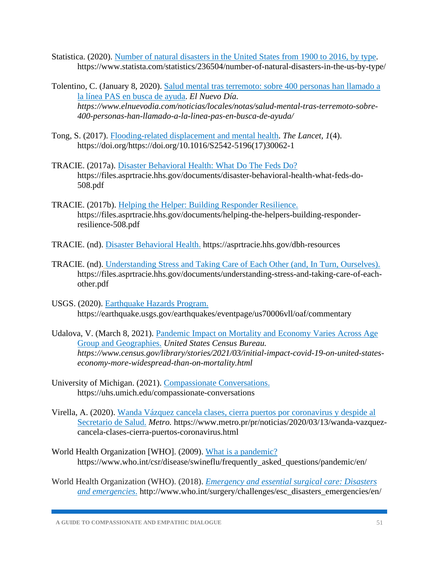Statistica. (2020). [Number of natural disasters in the United States from 1900 to 2016, by type.](https://www.statista.com/statistics/236504/number-of-natural-disasters-in-the-us-by-type/) https://www.statista.com/statistics/236504/number-of-natural-disasters-in-the-us-by-type/

Tolentino, C. (January 8, 2020). [Salud mental tras terremoto: sobre 400 personas han llamado a](https://www.elnuevodia.com/noticias/locales/notas/salud-mental-tras-terremoto-sobre-400-personas-han-llamado-a-la-linea-pas-en-busca-de-ayuda/)  [la línea PAS en busca de ayuda.](https://www.elnuevodia.com/noticias/locales/notas/salud-mental-tras-terremoto-sobre-400-personas-han-llamado-a-la-linea-pas-en-busca-de-ayuda/) *El Nuevo Día. https://www.elnuevodia.com/noticias/locales/notas/salud-mental-tras-terremoto-sobre-400-personas-han-llamado-a-la-linea-pas-en-busca-de-ayuda/*

- Tong, S. (2017). [Flooding-related displacement and mental health.](https://doi.org/https:/doi.org/10.1016/S2542-5196(17)30062-1) *The Lancet, 1*(4). https://doi.org/https://doi.org/10.1016/S2542-5196(17)30062-1
- TRACIE. (2017a). [Disaster Behavioral Health: What Do The Feds Do?](https://files.asprtracie.hhs.gov/documents/disaster-behavioral-health-what-feds-do-508.pdf) https://files.asprtracie.hhs.gov/documents/disaster-behavioral-health-what-feds-do-508.pdf
- TRACIE. (2017b). [Helping the Helper: Building Responder Resilience.](https://files.asprtracie.hhs.gov/documents/helping-the-helpers-building-responder-resilience-508.pdf) https://files.asprtracie.hhs.gov/documents/helping-the-helpers-building-responderresilience-508.pdf
- TRACIE. (nd). [Disaster Behavioral Health.](https://asprtracie.hhs.gov/dbh-resources) https://asprtracie.hhs.gov/dbh-resources
- TRACIE. (nd). [Understanding Stress and Taking Care of Each Other \(and, In Turn, Ourselves\).](https://files.asprtracie.hhs.gov/documents/understanding-stress-and-taking-care-of-each-other.pdf) https://files.asprtracie.hhs.gov/documents/understanding-stress-and-taking-care-of-eachother.pdf
- USGS. (2020). [Earthquake Hazards Program.](https://earthquake.usgs.gov/earthquakes/eventpage/us70006vll/oaf/commentary) https://earthquake.usgs.gov/earthquakes/eventpage/us70006vll/oaf/commentary
- Udalova, V. (March 8, 2021). [Pandemic Impact on Mortality and Economy Varies Across Age](https://www.census.gov/library/stories/2021/03/initial-impact-covid-19-on-united-states-economy-more-widespread-than-on-mortality.html)  [Group and Geographies.](https://www.census.gov/library/stories/2021/03/initial-impact-covid-19-on-united-states-economy-more-widespread-than-on-mortality.html) *United States Census Bureau. https://www.census.gov/library/stories/2021/03/initial-impact-covid-19-on-united-stateseconomy-more-widespread-than-on-mortality.html*
- University of Michigan. (2021). [Compassionate Conversations.](https://uhs.umich.edu/compassionate-conversations) https://uhs.umich.edu/compassionate-conversations
- Virella, A. (2020). [Wanda Vázquez cancela clases, cierra puertos por coronavirus y despide al](https://www.metro.pr/pr/noticias/2020/03/13/wanda-vazquez-cancela-clases-cierra-puertos-coronavirus.html)  [Secretario de Salud.](https://www.metro.pr/pr/noticias/2020/03/13/wanda-vazquez-cancela-clases-cierra-puertos-coronavirus.html) *Metro.* https://www.metro.pr/pr/noticias/2020/03/13/wanda-vazquezcancela-clases-cierra-puertos-coronavirus.html
- World Health Organization [WHO]. (2009). [What is a pandemic?](https://www.who.int/csr/disease/swineflu/frequently_asked_questions/pandemic/en/) https://www.who.int/csr/disease/swineflu/frequently\_asked\_questions/pandemic/en/
- World Health Organization (WHO). (2018). *[Emergency and essential surgical care: Disasters](http://www.who.int/surgery/challenges/esc_disasters_emergencies/en/)  [and emergencies](http://www.who.int/surgery/challenges/esc_disasters_emergencies/en/)*. http://www.who.int/surgery/challenges/esc\_disasters\_emergencies/en/